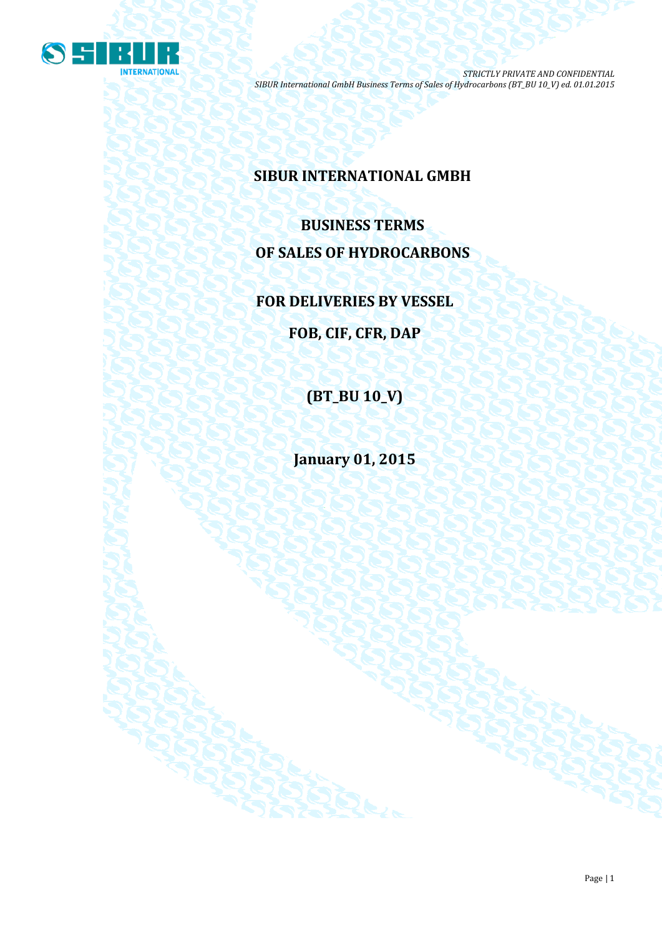

## **SIBUR INTERNATIONAL GMBH**

# **BUSINESS TERMS OF SALES OF HYDROCARBONS**

**FOR DELIVERIES BY VESSEL**

**FOB, CIF, CFR, DAP**

**(BT\_BU 10\_V)**

**January 01, 2015**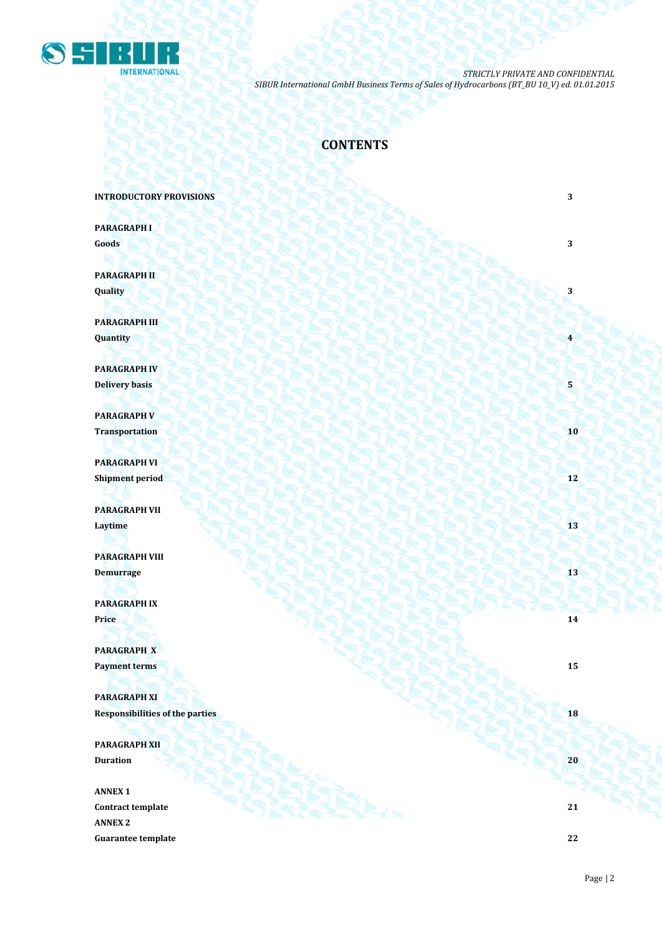

## **CONTENTS**

#### **INTRODUCTORY PROVISIONS** 3

**PARAGRAPH I Goods 3 3** 

**PARAGRAPH II Quality 3**

**PARAGRAPH III Quantity 1999 • 1999 • 1999 • 1999 • 1999 • 1999 • 1999 • 1999 • 1999 • 1999 • 1999 • 1999 • 1999 • 1999 • 1999 • 1999 • 1999 • 1999 • 1999 • 1999 • 1999 • 1999 • 1999 • 1999 • 1999 • 1999 • 1999 • 1999 • 1999 • 1999 •** 

**PARAGRAPH IV Delivery basis 5** 

**PARAGRAPH V Transportation 10** 

**PARAGRAPH VI Shipment period 12**

**PARAGRAPH VII Laytime 13**

**PARAGRAPH VIII Demurrage 13 13** 

**PARAGRAPH IX Price 14** *Price* **14** *Price* **14** 

**PARAGRAPH X Payment terms 15** 

**PARAGRAPH XI Responsibilities of the parties 18** 

**PARAGRAPH XII Duration 20** 

**ANNEX 1 Contract template 21 ANNEX 2 Guarantee template 22**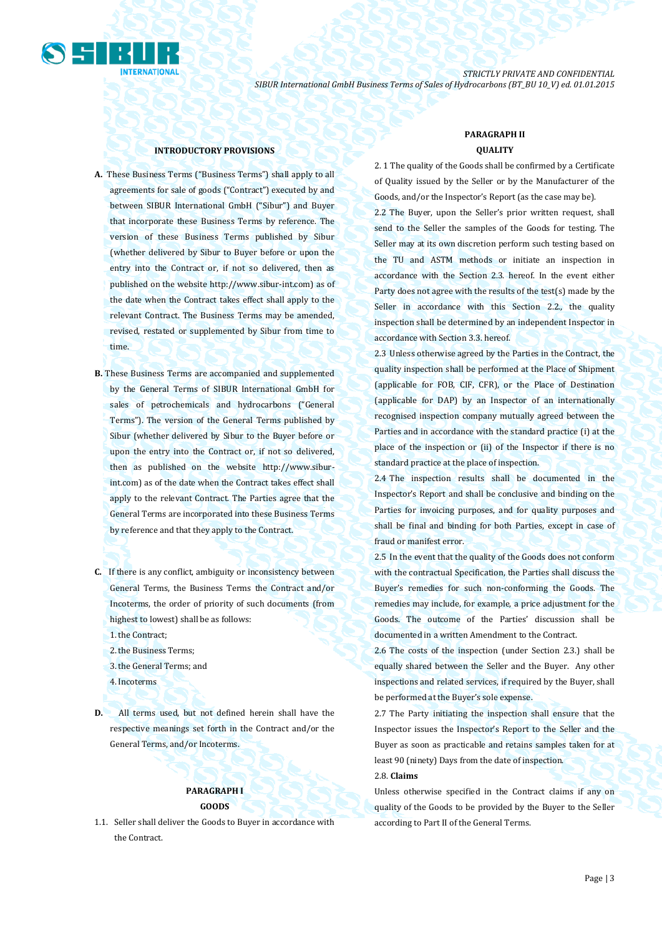

#### **INTRODUCTORY PROVISIONS**

- **A.** These Business Terms ("Business Terms") shall apply to all agreements for sale of goods ("Contract") executed by and between SIBUR International GmbH ("Sibur") and Buyer that incorporate these Business Terms by reference. The version of these Business Terms published by Sibur (whether delivered by Sibur to Buyer before or upon the entry into the Contract or, if not so delivered, then as published on the website [http://www.sibur-int.com\)](http://www.sibur-int.com/) as of the date when the Contract takes effect shall apply to the relevant Contract. The Business Terms may be amended, revised, restated or supplemented by Sibur from time to time.
- **B.** These Business Terms are accompanied and supplemented by the General Terms of SIBUR International GmbH for sales of petrochemicals and hydrocarbons ("General Terms"). The version of the General Terms published by Sibur (whether delivered by Sibur to the Buyer before or upon the entry into the Contract or, if not so delivered, then as published on the website [http://www.sibur](http://www.sibur-int.com/)[int.com\)](http://www.sibur-int.com/) as of the date when the Contract takes effect shall apply to the relevant Contract. The Parties agree that the General Terms are incorporated into these Business Terms by reference and that they apply to the Contract.
- **C.** If there is any conflict, ambiguity or inconsistency between General Terms, the Business Terms the Contract and/or Incoterms, the order of priority of such documents (from highest to lowest) shall be as follows:
	- 1.the Contract;
	- 2.the Business Terms;
	- 3.the General Terms; and
	- 4.Incoterms
- **D.** All terms used, but not defined herein shall have the respective meanings set forth in the Contract and/or the General Terms, and/or Incoterms.

## **PARAGRAPH I GOODS**

1.1. Seller shall deliver the Goods to Buyer in accordance with the Contract.

## **PARAGRAPH II QUALITY**

2. 1 The quality of the Goods shall be confirmed by a Certificate of Quality issued by the Seller or by the Manufacturer of the Goods, and/or the Inspector's Report (as the case may be). 2.2 The Buyer, upon the Seller's prior written request, shall send to the Seller the samples of the Goods for testing. The Seller may at its own discretion perform such testing based on the TU and ASTM methods or initiate an inspection in accordance with the Section 2.3. hereof. In the event either Party does not agree with the results of the test(s) made by the Seller in accordance with this Section 2.2., the quality inspection shall be determined by an independent Inspector in accordance with Section 3.3. hereof.

2.3 Unless otherwise agreed by the Parties in the Contract, the quality inspection shall be performed at the Place of Shipment (applicable for FOB, CIF, CFR), or the Place of Destination (applicable for DAP) by an Inspector of an internationally recognised inspection company mutually agreed between the Parties and in accordance with the standard practice (i) at the place of the inspection or (ii) of the Inspector if there is no standard practice at the place of inspection.

2.4 The inspection results shall be documented in the Inspector's Report and shall be conclusive and binding on the Parties for invoicing purposes, and for quality purposes and shall be final and binding for both Parties, except in case of fraud or manifest error.

2.5 In the event that the quality of the Goods does not conform with the contractual Specification, the Parties shall discuss the Buyer's remedies for such non-conforming the Goods. The remedies may include, for example, a price adjustment for the Goods. The outcome of the Parties' discussion shall be documented in a written Amendment to the Contract.

2.6 The costs of the inspection (under Section 2.3.) shall be equally shared between the Seller and the Buyer. Any other inspections and related services, if required by the Buyer, shall be performed at the Buyer's sole expense.

2.7 The Party initiating the inspection shall ensure that the Inspector issues the Inspector's Report to the Seller and the Buyer as soon as practicable and retains samples taken for at least 90 (ninety) Days from the date of inspection.

#### 2.8. **Claims**

Unless otherwise specified in the Contract claims if any on quality of the Goods to be provided by the Buyer to the Seller according to Part II of the General Terms.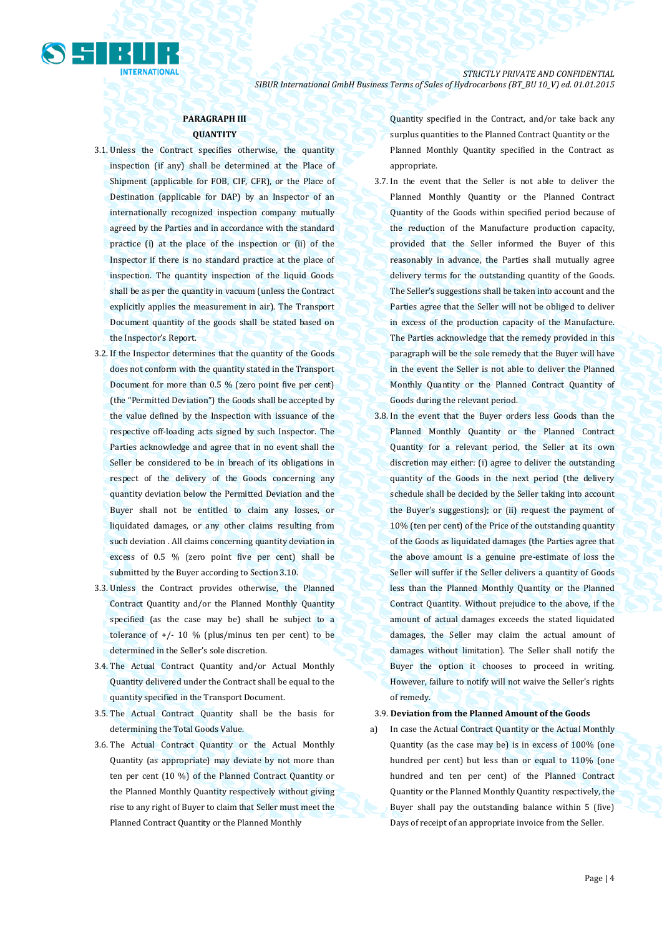

## **PARAGRAPH III QUANTITY**

- 3.1. Unless the Contract specifies otherwise, the quantity inspection (if any) shall be determined at the Place of Shipment (applicable for FOB, CIF, CFR), or the Place of Destination (applicable for DAP) by an Inspector of an internationally recognized inspection company mutually agreed by the Parties and in accordance with the standard practice (i) at the place of the inspection or (ii) of the Inspector if there is no standard practice at the place of inspection. The quantity inspection of the liquid Goods shall be as per the quantity in vacuum (unless the Contract explicitly applies the measurement in air). The Transport Document quantity of the goods shall be stated based on the Inspector's Report.
- 3.2. If the Inspector determines that the quantity of the Goods does not conform with the quantity stated in the Transport Document for more than 0.5 % (zero point five per cent) (the "Permitted Deviation") the Goods shall be accepted by the value defined by the Inspection with issuance of the respective off-loading acts signed by such Inspector. The Parties acknowledge and agree that in no event shall the Seller be considered to be in breach of its obligations in respect of the delivery of the Goods concerning any quantity deviation below the Permitted Deviation and the Buyer shall not be entitled to claim any losses, or liquidated damages, or any other claims resulting from such deviation . All claims concerning quantity deviation in excess of 0.5 % (zero point five per cent) shall be submitted by the Buyer according to Section 3.10.
- 3.3. Unless the Contract provides otherwise, the Planned Contract Quantity and/or the Planned Monthly Quantity specified (as the case may be) shall be subject to a tolerance of  $+/- 10 \%$  (plus/minus ten per cent) to be determined in the Seller's sole discretion.
- 3.4. The Actual Contract Quantity and/or Actual Monthly Quantity delivered under the Contract shall be equal to the quantity specified in the Transport Document.
- 3.5. The Actual Contract Quantity shall be the basis for determining the Total Goods Value.
- 3.6. The Actual Contract Quantity or the Actual Monthly Quantity (as appropriate) may deviate by not more than ten per cent (10 %) of the Planned Contract Quantity or the Planned Monthly Quantity respectively without giving rise to any right of Buyer to claim that Seller must meet the Planned Contract Quantity or the Planned Monthly

Quantity specified in the Contract, and/or take back any surplus quantities to the Planned Contract Quantity or the Planned Monthly Quantity specified in the Contract as appropriate.

- 3.7. In the event that the Seller is not able to deliver the Planned Monthly Quantity or the Planned Contract Quantity of the Goods within specified period because of the reduction of the Manufacture production capacity, provided that the Seller informed the Buyer of this reasonably in advance, the Parties shall mutually agree delivery terms for the outstanding quantity of the Goods. The Seller's suggestions shall be taken into account and the Parties agree that the Seller will not be obliged to deliver in excess of the production capacity of the Manufacture. The Parties acknowledge that the remedy provided in this paragraph will be the sole remedy that the Buyer will have in the event the Seller is not able to deliver the Planned Monthly Quantity or the Planned Contract Quantity of Goods during the relevant period.
- 3.8. In the event that the Buyer orders less Goods than the Planned Monthly Quantity or the Planned Contract Quantity for a relevant period, the Seller at its own discretion may either: (i) agree to deliver the outstanding quantity of the Goods in the next period (the delivery schedule shall be decided by the Seller taking into account the Buyer's suggestions); or (ii) request the payment of 10% (ten per cent) of the Price of the outstanding quantity of the Goods as liquidated damages (the Parties agree that the above amount is a genuine pre-estimate of loss the Seller will suffer if the Seller delivers a quantity of Goods less than the Planned Monthly Quantity or the Planned Contract Quantity. Without prejudice to the above, if the amount of actual damages exceeds the stated liquidated damages, the Seller may claim the actual amount of damages without limitation). The Seller shall notify the Buyer the option it chooses to proceed in writing. However, failure to notify will not waive the Seller's rights of remedy.
- 3.9. **Deviation from the Planned Amount of the Goods**
- a) In case the Actual Contract Quantity or the Actual Monthly Quantity (as the case may be) is in excess of 100% (one hundred per cent) but less than or equal to 110% (one hundred and ten per cent) of the Planned Contract Quantity or the Planned Monthly Quantity respectively, the Buyer shall pay the outstanding balance within 5 (five) Days of receipt of an appropriate invoice from the Seller.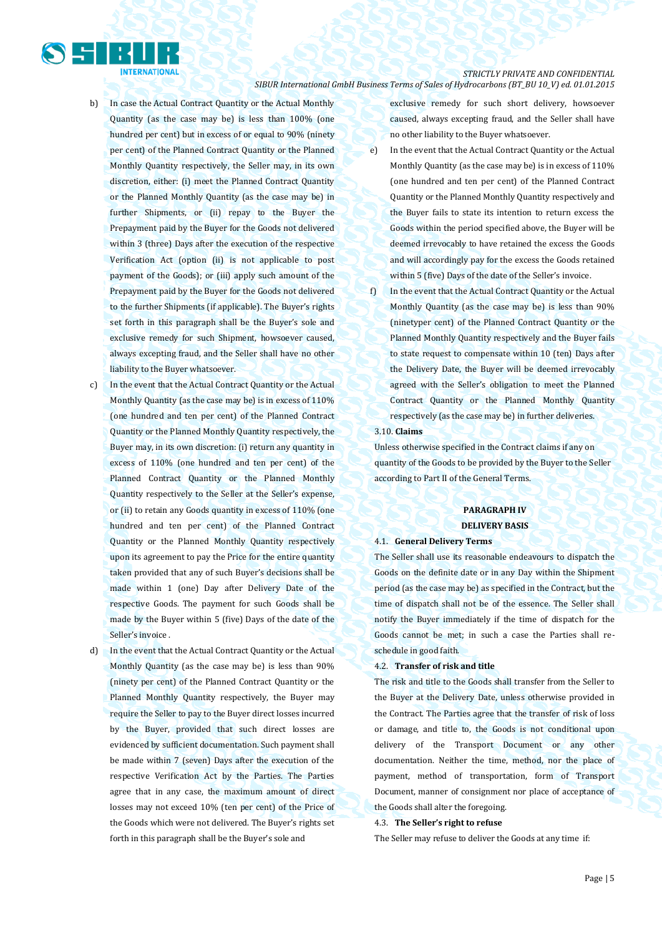

- b) In case the Actual Contract Quantity or the Actual Monthly Quantity (as the case may be) is less than 100% (one hundred per cent) but in excess of or equal to 90% (ninety per cent) of the Planned Contract Quantity or the Planned Monthly Quantity respectively, the Seller may, in its own discretion, either: (i) meet the Planned Contract Quantity or the Planned Monthly Quantity (as the case may be) in further Shipments, or (ii) repay to the Buyer the Prepayment paid by the Buyer for the Goods not delivered within 3 (three) Days after the execution of the respective Verification Act (option (ii) is not applicable to post payment of the Goods); or (iii) apply such amount of the Prepayment paid by the Buyer for the Goods not delivered to the further Shipments (if applicable). The Buyer's rights set forth in this paragraph shall be the Buyer's sole and exclusive remedy for such Shipment, howsoever caused, always excepting fraud, and the Seller shall have no other liability to the Buyer whatsoever.
- c) In the event that the Actual Contract Quantity or the Actual Monthly Quantity (as the case may be) is in excess of 110% (one hundred and ten per cent) of the Planned Contract Quantity or the Planned Monthly Quantity respectively, the Buyer may, in its own discretion: (i) return any quantity in excess of 110% (one hundred and ten per cent) of the Planned Contract Quantity or the Planned Monthly Quantity respectively to the Seller at the Seller's expense, or (ii) to retain any Goods quantity in excess of 110% (one hundred and ten per cent) of the Planned Contract Quantity or the Planned Monthly Quantity respectively upon its agreement to pay the Price for the entire quantity taken provided that any of such Buyer's decisions shall be made within 1 (one) Day after Delivery Date of the respective Goods. The payment for such Goods shall be made by the Buyer within 5 (five) Days of the date of the Seller's invoice .
- d) In the event that the Actual Contract Quantity or the Actual Monthly Quantity (as the case may be) is less than 90% (ninety per cent) of the Planned Contract Quantity or the Planned Monthly Quantity respectively, the Buyer may require the Seller to pay to the Buyer direct losses incurred by the Buyer, provided that such direct losses are evidenced by sufficient documentation. Such payment shall be made within 7 (seven) Days after the execution of the respective Verification Act by the Parties. The Parties agree that in any case, the maximum amount of direct losses may not exceed 10% (ten per cent) of the Price of the Goods which were not delivered. The Buyer's rights set forth in this paragraph shall be the Buyer's sole and

exclusive remedy for such short delivery, howsoever caused, always excepting fraud, and the Seller shall have no other liability to the Buyer whatsoever.

- e) In the event that the Actual Contract Quantity or the Actual Monthly Quantity (as the case may be) is in excess of 110% (one hundred and ten per cent) of the Planned Contract Quantity or the Planned Monthly Quantity respectively and the Buyer fails to state its intention to return excess the Goods within the period specified above, the Buyer will be deemed irrevocably to have retained the excess the Goods and will accordingly pay for the excess the Goods retained within 5 (five) Days of the date of the Seller's invoice.
- f) In the event that the Actual Contract Quantity or the Actual Monthly Quantity (as the case may be) is less than 90% (ninetyper cent) of the Planned Contract Quantity or the Planned Monthly Quantity respectively and the Buyer fails to state request to compensate within 10 (ten) Days after the Delivery Date, the Buyer will be deemed irrevocably agreed with the Seller's obligation to meet the Planned Contract Quantity or the Planned Monthly Quantity respectively (as the case may be) in further deliveries.

#### 3.10. **Claims**

Unless otherwise specified in the Contract claims if any on quantity of the Goods to be provided by the Buyer to the Seller according to Part II of the General Terms.

### **PARAGRAPH IV DELIVERY BASIS**

### 4.1. **General Delivery Terms**

The Seller shall use its reasonable endeavours to dispatch the Goods on the definite date or in any Day within the Shipment period (as the case may be) as specified in the Contract, but the time of dispatch shall not be of the essence. The Seller shall notify the Buyer immediately if the time of dispatch for the Goods cannot be met; in such a case the Parties shall reschedule in good faith.

#### 4.2. **Transfer of risk and title**

The risk and title to the Goods shall transfer from the Seller to the Buyer at the Delivery Date, unless otherwise provided in the Contract. The Parties agree that the transfer of risk of loss or damage, and title to, the Goods is not conditional upon delivery of the Transport Document or any other documentation. Neither the time, method, nor the place of payment, method of transportation, form of Transport Document, manner of consignment nor place of acceptance of the Goods shall alter the foregoing.

#### 4.3. **The Seller's right to refuse**

The Seller may refuse to deliver the Goods at any time if: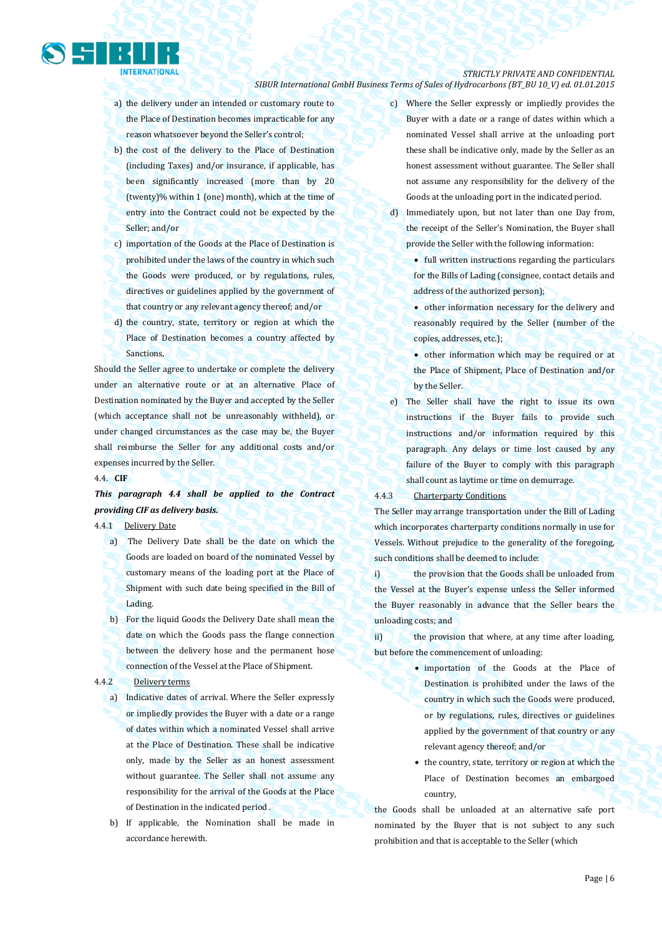- a) the delivery under an intended or customary route to the Place of Destination becomes impracticable for any reason whatsoever beyond the Seller's control;
- b) the cost of the delivery to the Place of Destination (including Taxes) and/or insurance, if applicable, has been significantly increased (more than by 20 (twenty)% within 1 (one) month), which at the time of entry into the Contract could not be expected by the Seller; and/or
- c) importation of the Goods at the Place of Destination is prohibited under the laws of the country in which such the Goods were produced, or by regulations, rules, directives or guidelines applied by the government of that country or any relevant agency thereof; and/or
- d) the country, state, territory or region at which the Place of Destination becomes a country affected by Sanctions,

Should the Seller agree to undertake or complete the delivery under an alternative route or at an alternative Place of Destination nominated by the Buyer and accepted by the Seller (which acceptance shall not be unreasonably withheld), or under changed circumstances as the case may be, the Buyer shall reimburse the Seller for any additional costs and/or expenses incurred by the Seller.

#### 4.4. **CIF**

## *This paragraph 4.4 shall be applied to the Contract providing CIF as delivery basis.*

4.4.1Delivery Date

- a) The Delivery Date shall be the date on which the Goods are loaded on board of the nominated Vessel by customary means of the loading port at the Place of Shipment with such date being specified in the Bill of Lading.
- b) For the liquid Goods the Delivery Date shall mean the date on which the Goods pass the flange connection between the delivery hose and the permanent hose connection of the Vessel at the Place of Shipment.

#### 4.4.2 Delivery terms

- a) Indicative dates of arrival. Where the Seller expressly or impliedly provides the Buyer with a date or a range of dates within which a nominated Vessel shall arrive at the Place of Destination. These shall be indicative only, made by the Seller as an honest assessment without guarantee. The Seller shall not assume any responsibility for the arrival of the Goods at the Place of Destination in the indicated period .
- b) If applicable, the Nomination shall be made in accordance herewith.
- c) Where the Seller expressly or impliedly provides the Buyer with a date or a range of dates within which a nominated Vessel shall arrive at the unloading port these shall be indicative only, made by the Seller as an honest assessment without guarantee. The Seller shall not assume any responsibility for the delivery of the Goods at the unloading port in the indicated period.
- d) Immediately upon, but not later than one Day from, the receipt of the Seller's Nomination, the Buyer shall provide the Seller with the following information:

 full written instructions regarding the particulars for the Bills of Lading (consignee, contact details and address of the authorized person);

 other information necessary for the delivery and reasonably required by the Seller (number of the copies, addresses, etc.);

 other information which may be required or at the Place of Shipment, Place of Destination and/or by the Seller.

e) The Seller shall have the right to issue its own instructions if the Buyer fails to provide such instructions and/or information required by this paragraph. Any delays or time lost caused by any failure of the Buyer to comply with this paragraph shall count as laytime or time on demurrage.

#### 4.4.3 Charterparty Conditions

The Seller may arrange transportation under the Bill of Lading which incorporates charterparty conditions normally in use for Vessels. Without prejudice to the generality of the foregoing, such conditions shall be deemed to include:

i) the provision that the Goods shall be unloaded from the Vessel at the Buyer's expense unless the Seller informed the Buyer reasonably in advance that the Seller bears the unloading costs; and

ii) the provision that where, at any time after loading, but before the commencement of unloading:

- importation of the Goods at the Place of Destination is prohibited under the laws of the country in which such the Goods were produced, or by regulations, rules, directives or guidelines applied by the government of that country or any relevant agency thereof; and/or
- the country, state, territory or region at which the Place of Destination becomes an embargoed country,

the Goods shall be unloaded at an alternative safe port nominated by the Buyer that is not subject to any such prohibition and that is acceptable to the Seller (which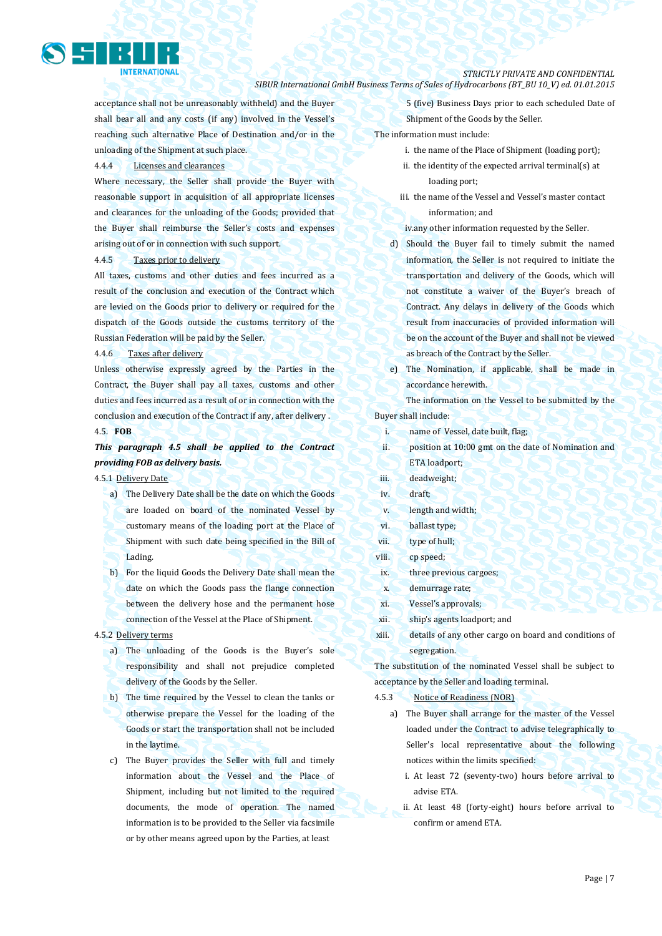

acceptance shall not be unreasonably withheld) and the Buyer shall bear all and any costs (if any) involved in the Vessel's reaching such alternative Place of Destination and/or in the unloading of the Shipment at such place.

4.4.4 Licenses and clearances

Where necessary, the Seller shall provide the Buyer with reasonable support in acquisition of all appropriate licenses and clearances for the unloading of the Goods; provided that the Buyer shall reimburse the Seller's costs and expenses arising out of or in connection with such support.

4.4.5 Taxes prior to delivery

All taxes, customs and other duties and fees incurred as a result of the conclusion and execution of the Contract which are levied on the Goods prior to delivery or required for the dispatch of the Goods outside the customs territory of the Russian Federation will be paid by the Seller.

4.4.6 Taxes after delivery

Unless otherwise expressly agreed by the Parties in the Contract, the Buyer shall pay all taxes, customs and other duties and fees incurred as a result of or in connection with the conclusion and execution of the Contract if any, after delivery .

## 4.5. **FOB**

## *This paragraph 4.5 shall be applied to the Contract providing FOB as delivery basis.*

## 4.5.1 Delivery Date

- a) The Delivery Date shall be the date on which the Goods are loaded on board of the nominated Vessel by customary means of the loading port at the Place of Shipment with such date being specified in the Bill of Lading.
- b) For the liquid Goods the Delivery Date shall mean the date on which the Goods pass the flange connection between the delivery hose and the permanent hose connection of the Vessel at the Place of Shipment.

### 4.5.2 Delivery terms

- a) The unloading of the Goods is the Buyer's sole responsibility and shall not prejudice completed delivery of the Goods by the Seller.
- b) The time required by the Vessel to clean the tanks or otherwise prepare the Vessel for the loading of the Goods or start the transportation shall not be included in the laytime.
- c) The Buyer provides the Seller with full and timely information about the Vessel and the Place of Shipment, including but not limited to the required documents, the mode of operation. The named information is to be provided to the Seller via facsimile or by other means agreed upon by the Parties, at least

5 (five) Business Days prior to each scheduled Date of Shipment of the Goods by the Seller.

### The information must include:

- i. the name of the Place of Shipment (loading port);
- ii. the identity of the expected arrival terminal(s) at loading port;
- iii. the name of the Vessel and Vessel's master contact information; and

iv.any other information requested by the Seller.

- d) Should the Buyer fail to timely submit the named information, the Seller is not required to initiate the transportation and delivery of the Goods, which will not constitute a waiver of the Buyer's breach of Contract. Any delays in delivery of the Goods which result from inaccuracies of provided information will be on the account of the Buyer and shall not be viewed as breach of the Contract by the Seller.
- e) The Nomination, if applicable, shall be made in accordance herewith.

The information on the Vessel to be submitted by the Buyer shall include:

- i. name of Vessel, date built, flag;
- ii. position at 10:00 gmt on the date of Nomination and ETA loadport;
- iii. deadweight;
- iv. draft;
- v. length and width;
- vi. ballast type;
- vii. type of hull;
- viii. cp speed;
- ix. three previous cargoes;
- x. demurrage rate;
- xi. Vessel's approvals;
- xii. ship's agents loadport; and
- xiii. details of any other cargo on board and conditions of segregation.

The substitution of the nominated Vessel shall be subject to acceptance by the Seller and loading terminal.

- 4.5.3 Notice of Readiness (NOR)
	- a) The Buyer shall arrange for the master of the Vessel loaded under the Contract to advise telegraphically to Seller's local representative about the following notices within the limits specified:
		- i. At least 72 (seventy-two) hours before arrival to advise ETA.
		- ii. At least 48 (forty-eight) hours before arrival to confirm or amend ETA.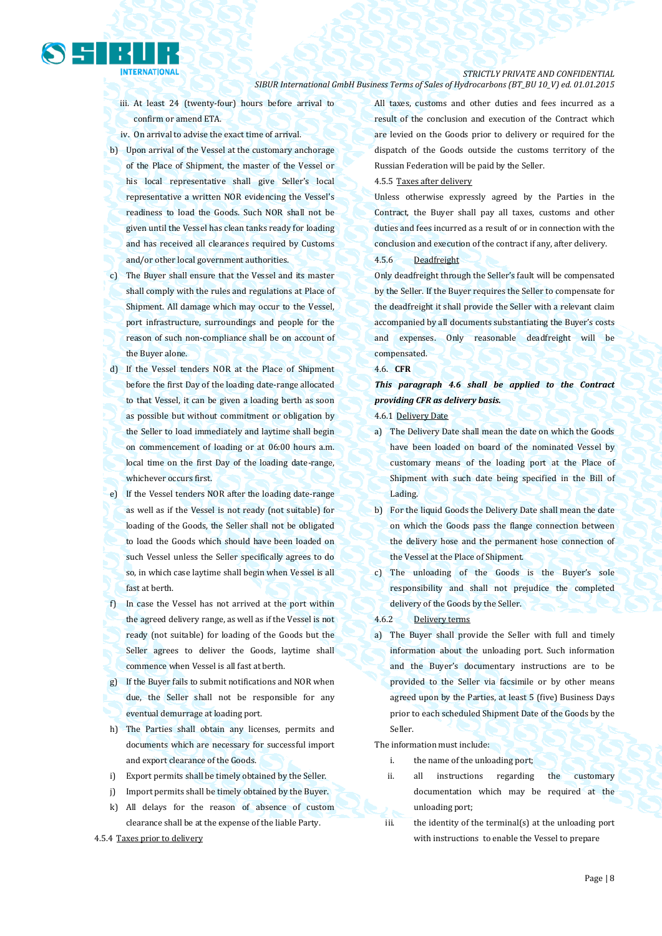- iii. At least 24 (twenty-four) hours before arrival to confirm or amend ETA.
- iv. On arrival to advise the exact time of arrival.
- b) Upon arrival of the Vessel at the customary anchorage of the Place of Shipment, the master of the Vessel or his local representative shall give Seller's local representative a written NOR evidencing the Vessel's readiness to load the Goods. Such NOR shall not be given until the Vessel has clean tanks ready for loading and has received all clearances required by Customs and/or other local government authorities.
- c) The Buyer shall ensure that the Vessel and its master shall comply with the rules and regulations at Place of Shipment. All damage which may occur to the Vessel, port infrastructure, surroundings and people for the reason of such non-compliance shall be on account of the Buyer alone.
- d) If the Vessel tenders NOR at the Place of Shipment before the first Day of the loading date-range allocated to that Vessel, it can be given a loading berth as soon as possible but without commitment or obligation by the Seller to load immediately and laytime shall begin on commencement of loading or at 06:00 hours a.m. local time on the first Day of the loading date-range, whichever occurs first.
- e) If the Vessel tenders NOR after the loading date-range as well as if the Vessel is not ready (not suitable) for loading of the Goods, the Seller shall not be obligated to load the Goods which should have been loaded on such Vessel unless the Seller specifically agrees to do so, in which case laytime shall begin when Vessel is all fast at berth.
- f) In case the Vessel has not arrived at the port within the agreed delivery range, as well as if the Vessel is not ready (not suitable) for loading of the Goods but the Seller agrees to deliver the Goods, laytime shall commence when Vessel is all fast at berth.
- g) If the Buyer fails to submit notifications and NOR when due, the Seller shall not be responsible for any eventual demurrage at loading port.
- h) The Parties shall obtain any licenses, permits and documents which are necessary for successful import and export clearance of the Goods.
- i) Export permits shall be timely obtained by the Seller.
- j) Import permits shall be timely obtained by the Buyer.
- k) All delays for the reason of absence of custom clearance shall be at the expense of the liable Party.
- 4.5.4 Taxes prior to delivery

All taxes, customs and other duties and fees incurred as a result of the conclusion and execution of the Contract which are levied on the Goods prior to delivery or required for the dispatch of the Goods outside the customs territory of the Russian Federation will be paid by the Seller.

### 4.5.5 Taxes after delivery

Unless otherwise expressly agreed by the Parties in the Contract, the Buyer shall pay all taxes, customs and other duties and fees incurred as a result of or in connection with the conclusion and execution of the contract if any, after delivery.

#### 4.5.6 Deadfreight

Only deadfreight through the Seller's fault will be compensated by the Seller. If the Buyer requires the Seller to compensate for the deadfreight it shall provide the Seller with a relevant claim accompanied by all documents substantiating the Buyer's costs and expenses. Only reasonable deadfreight will be compensated.

#### 4.6. **CFR**

*This paragraph 4.6 shall be applied to the Contract providing CFR as delivery basis.*

4.6.1 Delivery Date

- a) The Delivery Date shall mean the date on which the Goods have been loaded on board of the nominated Vessel by customary means of the loading port at the Place of Shipment with such date being specified in the Bill of Lading.
- b) For the liquid Goods the Delivery Date shall mean the date on which the Goods pass the flange connection between the delivery hose and the permanent hose connection of the Vessel at the Place of Shipment.
- c) The unloading of the Goods is the Buyer's sole responsibility and shall not prejudice the completed delivery of the Goods by the Seller.
- 4.6.2 Delivery terms
- a) The Buyer shall provide the Seller with full and timely information about the unloading port. Such information and the Buyer's documentary instructions are to be provided to the Seller via facsimile or by other means agreed upon by the Parties, at least 5 (five) Business Days prior to each scheduled Shipment Date of the Goods by the Seller.

The information must include:

- i. the name of the unloading port;
- ii. all instructions regarding the customary documentation which may be required at the unloading port;
- iii. the identity of the terminal(s) at the unloading port with instructions to enable the Vessel to prepare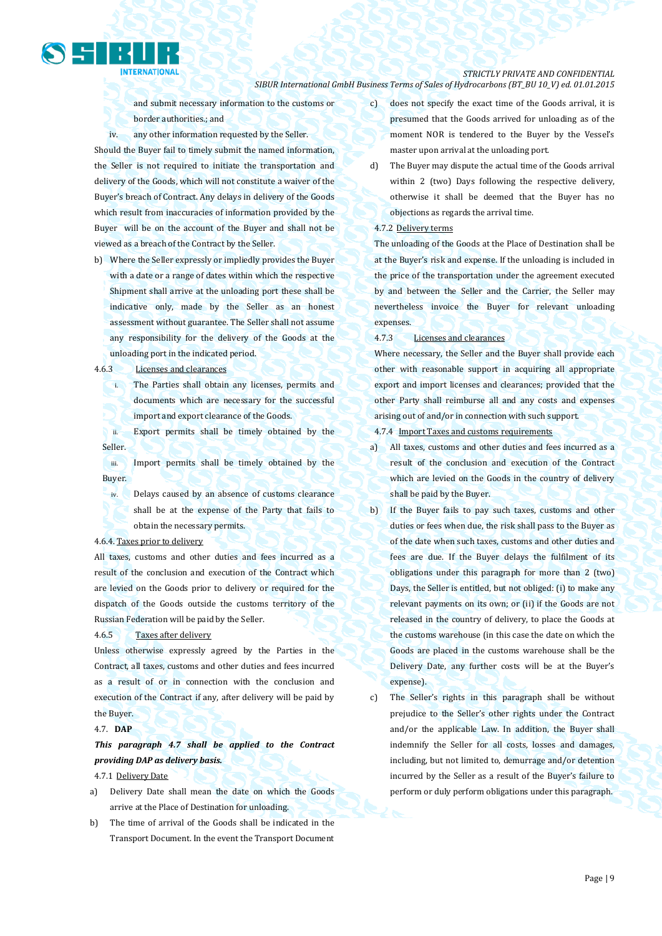*STRICTLY PRIVATE AND CONFIDENTIAL*

d) The Buyer may dispute the actual time of the Goods arrival within 2 (two) Days following the respective delivery, otherwise it shall be deemed that the Buyer has no objections as regards the arrival time.

c) does not specify the exact time of the Goods arrival, it is presumed that the Goods arrived for unloading as of the moment NOR is tendered to the Buyer by the Vessel's

## 4.7.2 Delivery terms

*SIBUR International GmbH Business Terms of Sales of Hydrocarbons (BT\_BU 10\_V) ed. 01.01.2015*

The unloading of the Goods at the Place of Destination shall be at the Buyer's risk and expense. If the unloading is included in the price of the transportation under the agreement executed by and between the Seller and the Carrier, the Seller may nevertheless invoice the Buyer for relevant unloading expenses.

4.7.3 Licenses and clearances

Where necessary, the Seller and the Buyer shall provide each other with reasonable support in acquiring all appropriate export and import licenses and clearances; provided that the other Party shall reimburse all and any costs and expenses arising out of and/or in connection with such support.

4.7.4 Import Taxes and customs requirements

- a) All taxes, customs and other duties and fees incurred as a result of the conclusion and execution of the Contract which are levied on the Goods in the country of delivery shall be paid by the Buyer.
- b) If the Buyer fails to pay such taxes, customs and other duties or fees when due, the risk shall pass to the Buyer as of the date when such taxes, customs and other duties and fees are due. If the Buyer delays the fulfilment of its obligations under this paragraph for more than 2 (two) Days, the Seller is entitled, but not obliged: (i) to make any relevant payments on its own; or (ii) if the Goods are not released in the country of delivery, to place the Goods at the customs warehouse (in this case the date on which the Goods are placed in the customs warehouse shall be the Delivery Date, any further costs will be at the Buyer's expense).
- c) The Seller's rights in this paragraph shall be without prejudice to the Seller's other rights under the Contract and/or the applicable Law. In addition, the Buyer shall indemnify the Seller for all costs, losses and damages, including, but not limited to, demurrage and/or detention incurred by the Seller as a result of the Buyer's failure to perform or duly perform obligations under this paragraph.

and submit necessary information to the customs or border authorities.; and

iv. any other information requested by the Seller.

Should the Buyer fail to timely submit the named information, the Seller is not required to initiate the transportation and delivery of the Goods, which will not constitute a waiver of the Buyer's breach of Contract. Any delays in delivery of the Goods which result from inaccuracies of information provided by the Buyer will be on the account of the Buyer and shall not be viewed as a breach of the Contract by the Seller.

b) Where the Seller expressly or impliedly provides the Buyer with a date or a range of dates within which the respective Shipment shall arrive at the unloading port these shall be indicative only, made by the Seller as an honest assessment without guarantee. The Seller shall not assume any responsibility for the delivery of the Goods at the unloading port in the indicated period.

4.6.3 Licenses and clearances

**NTERNATIONAL** 

i. The Parties shall obtain any licenses, permits and documents which are necessary for the successful import and export clearance of the Goods.

ii. Export permits shall be timely obtained by the Seller.

iii. Import permits shall be timely obtained by the Buyer.

iv. Delays caused by an absence of customs clearance shall be at the expense of the Party that fails to obtain the necessary permits.

## 4.6.4. Taxes prior to delivery

All taxes, customs and other duties and fees incurred as a result of the conclusion and execution of the Contract which are levied on the Goods prior to delivery or required for the dispatch of the Goods outside the customs territory of the Russian Federation will be paid by the Seller.

## 4.6.5 Taxes after delivery

Unless otherwise expressly agreed by the Parties in the Contract, all taxes, customs and other duties and fees incurred as a result of or in connection with the conclusion and execution of the Contract if any, after delivery will be paid by the Buyer.

## 4.7. **DAP**

*This paragraph 4.7 shall be applied to the Contract providing DAP as delivery basis.*

- 4.7.1 Delivery Date
- a) Delivery Date shall mean the date on which the Goods arrive at the Place of Destination for unloading.
- b) The time of arrival of the Goods shall be indicated in the Transport Document. In the event the Transport Document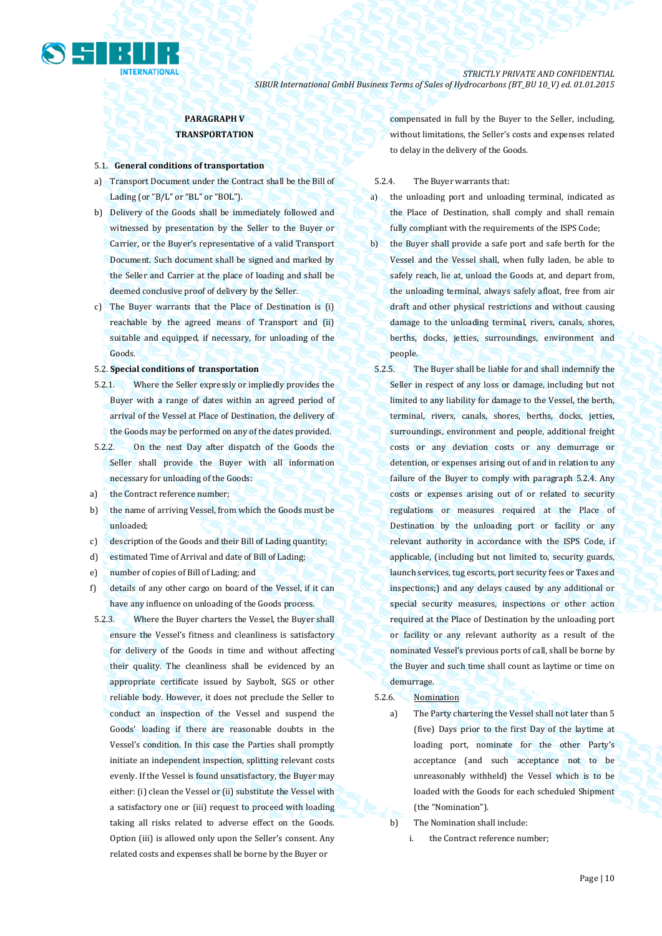

## **PARAGRAPH V TRANSPORTATION**

### 5.1. **General conditions of transportation**

- a) Transport Document under the Contract shall be the Bill of Lading (or "B/L" or "BL" or "BOL").
- b) Delivery of the Goods shall be immediately followed and witnessed by presentation by the Seller to the Buyer or Carrier, or the Buyer's representative of a valid Transport Document. Such document shall be signed and marked by the Seller and Carrier at the place of loading and shall be deemed conclusive proof of delivery by the Seller.
- c) The Buyer warrants that the Place of Destination is (i) reachable by the agreed means of Transport and (ii) suitable and equipped, if necessary, for unloading of the Goods.

### 5.2. **Special conditions of transportation**

- 5.2.1. Where the Seller expressly or impliedly provides the Buyer with a range of dates within an agreed period of arrival of the Vessel at Place of Destination, the delivery of the Goods may be performed on any of the dates provided.
- 5.2.2. On the next Day after dispatch of the Goods the Seller shall provide the Buyer with all information necessary for unloading of the Goods:
- a) the Contract reference number;
- b) the name of arriving Vessel, from which the Goods must be unloaded;
- c) description of the Goods and their Bill of Lading quantity;
- d) estimated Time of Arrival and date of Bill of Lading;
- e) number of copies of Bill of Lading; and
- f) details of any other cargo on board of the Vessel, if it can have any influence on unloading of the Goods process.
- 5.2.3. Where the Buyer charters the Vessel, the Buyer shall ensure the Vessel's fitness and cleanliness is satisfactory for delivery of the Goods in time and without affecting their quality. The cleanliness shall be evidenced by an appropriate certificate issued by Saybolt, SGS or other reliable body. However, it does not preclude the Seller to conduct an inspection of the Vessel and suspend the Goods' loading if there are reasonable doubts in the Vessel's condition. In this case the Parties shall promptly initiate an independent inspection, splitting relevant costs evenly. If the Vessel is found unsatisfactory, the Buyer may either: (i) clean the Vessel or (ii) substitute the Vessel with a satisfactory one or (iii) request to proceed with loading taking all risks related to adverse effect on the Goods. Option (iii) is allowed only upon the Seller's consent. Any related costs and expenses shall be borne by the Buyer or

compensated in full by the Buyer to the Seller, including, without limitations, the Seller's costs and expenses related to delay in the delivery of the Goods.

5.2.4. The Buyer warrants that:

- a) the unloading port and unloading terminal, indicated as the Place of Destination, shall comply and shall remain fully compliant with the requirements of the ISPS Code;
- b) the Buyer shall provide a safe port and safe berth for the Vessel and the Vessel shall, when fully laden, be able to safely reach, lie at, unload the Goods at, and depart from, the unloading terminal, always safely afloat, free from air draft and other physical restrictions and without causing damage to the unloading terminal, rivers, canals, shores, berths, docks, jetties, surroundings, environment and people.
- 5.2.5. The Buyer shall be liable for and shall indemnify the Seller in respect of any loss or damage, including but not limited to any liability for damage to the Vessel, the berth, terminal, rivers, canals, shores, berths, docks, jetties, surroundings, environment and people, additional freight costs or any deviation costs or any demurrage or detention, or expenses arising out of and in relation to any failure of the Buyer to comply with paragraph 5.2.4. Any costs or expenses arising out of or related to security regulations or measures required at the Place of Destination by the unloading port or facility or any relevant authority in accordance with the ISPS Code, if applicable, (including but not limited to, security guards, launch services, tug escorts, port security fees or Taxes and inspections;) and any delays caused by any additional or special security measures, inspections or other action required at the Place of Destination by the unloading port or facility or any relevant authority as a result of the nominated Vessel's previous ports of call, shall be borne by the Buyer and such time shall count as laytime or time on demurrage.

### 5.2.6. Nomination

a) The Party chartering the Vessel shall not later than 5 (five) Days prior to the first Day of the laytime at loading port, nominate for the other Party's acceptance (and such acceptance not to be unreasonably withheld) the Vessel which is to be loaded with the Goods for each scheduled Shipment (the "Nomination").

- b) The Nomination shall include:
	- i. the Contract reference number;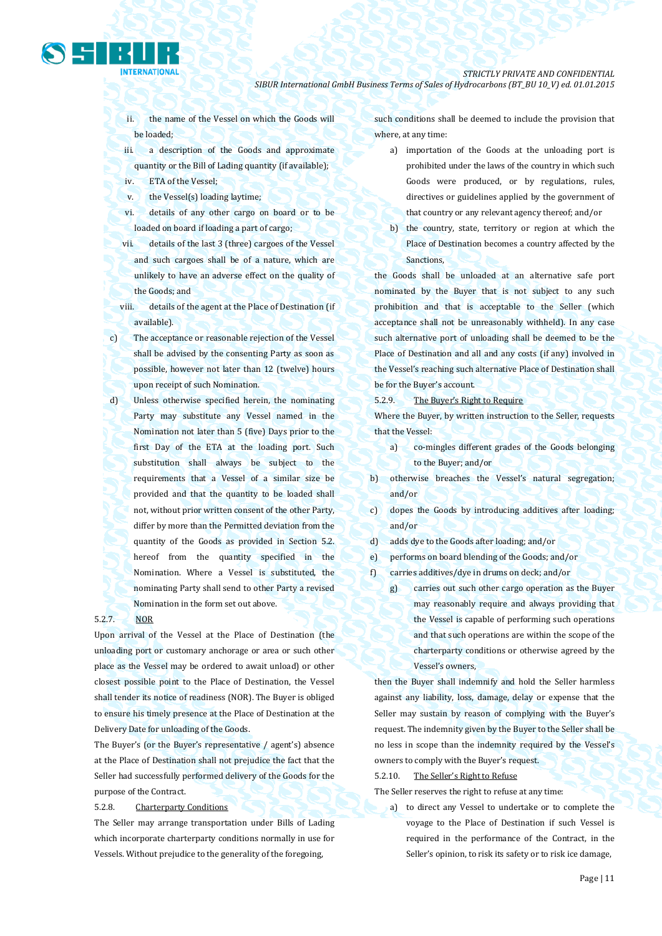ii. the name of the Vessel on which the Goods will be loaded;

iii. a description of the Goods and approximate quantity or the Bill of Lading quantity (if available);

- iv. ETA of the Vessel;
- v. the Vessel(s) loading laytime;
- vi. details of any other cargo on board or to be loaded on board if loading a part of cargo;
- vii. details of the last 3 (three) cargoes of the Vessel and such cargoes shall be of a nature, which are unlikely to have an adverse effect on the quality of the Goods; and
- viii. details of the agent at the Place of Destination (if available).
- c) The acceptance or reasonable rejection of the Vessel shall be advised by the consenting Party as soon as possible, however not later than 12 (twelve) hours upon receipt of such Nomination.
- d) Unless otherwise specified herein, the nominating Party may substitute any Vessel named in the Nomination not later than 5 (five) Days prior to the first Day of the ETA at the loading port. Such substitution shall always be subject to the requirements that a Vessel of a similar size be provided and that the quantity to be loaded shall not, without prior written consent of the other Party, differ by more than the Permitted deviation from the quantity of the Goods as provided in Section 5.2. hereof from the quantity specified in the Nomination. Where a Vessel is substituted, the nominating Party shall send to other Party a revised Nomination in the form set out above.

## 5.2.7. NOR

Upon arrival of the Vessel at the Place of Destination (the unloading port or customary anchorage or area or such other place as the Vessel may be ordered to await unload) or other closest possible point to the Place of Destination, the Vessel shall tender its notice of readiness (NOR). The Buyer is obliged to ensure his timely presence at the Place of Destination at the Delivery Date for unloading of the Goods.

The Buyer's (or the Buyer's representative / agent's) absence at the Place of Destination shall not prejudice the fact that the Seller had successfully performed delivery of the Goods for the purpose of the Contract.

## 5.2.8. Charterparty Conditions

The Seller may arrange transportation under Bills of Lading which incorporate charterparty conditions normally in use for Vessels. Without prejudice to the generality of the foregoing,

such conditions shall be deemed to include the provision that where, at any time:

- a) importation of the Goods at the unloading port is prohibited under the laws of the country in which such Goods were produced, or by regulations, rules, directives or guidelines applied by the government of that country or any relevant agency thereof; and/or
- b) the country, state, territory or region at which the Place of Destination becomes a country affected by the Sanctions,

the Goods shall be unloaded at an alternative safe port nominated by the Buyer that is not subject to any such prohibition and that is acceptable to the Seller (which acceptance shall not be unreasonably withheld). In any case such alternative port of unloading shall be deemed to be the Place of Destination and all and any costs (if any) involved in the Vessel's reaching such alternative Place of Destination shall be for the Buyer's account.

5.2.9. The Buyer's Right to Require

Where the Buyer, by written instruction to the Seller, requests that the Vessel:

- a) co-mingles different grades of the Goods belonging to the Buyer; and/or
- b) otherwise breaches the Vessel's natural segregation; and/or
- c) dopes the Goods by introducing additives after loading; and/or
- d) adds dye to the Goods after loading; and/or
- e) performs on board blending of the Goods; and/or
- f) carries additives/dye in drums on deck; and/or
	- g) carries out such other cargo operation as the Buyer may reasonably require and always providing that the Vessel is capable of performing such operations and that such operations are within the scope of the charterparty conditions or otherwise agreed by the Vessel's owners,

then the Buyer shall indemnify and hold the Seller harmless against any liability, loss, damage, delay or expense that the Seller may sustain by reason of complying with the Buyer's request. The indemnity given by the Buyer to the Seller shall be no less in scope than the indemnity required by the Vessel's owners to comply with the Buyer's request.

5.2.10. The Seller's Right to Refuse

The Seller reserves the right to refuse at any time:

a) to direct any Vessel to undertake or to complete the voyage to the Place of Destination if such Vessel is required in the performance of the Contract, in the Seller's opinion, to risk its safety or to risk ice damage,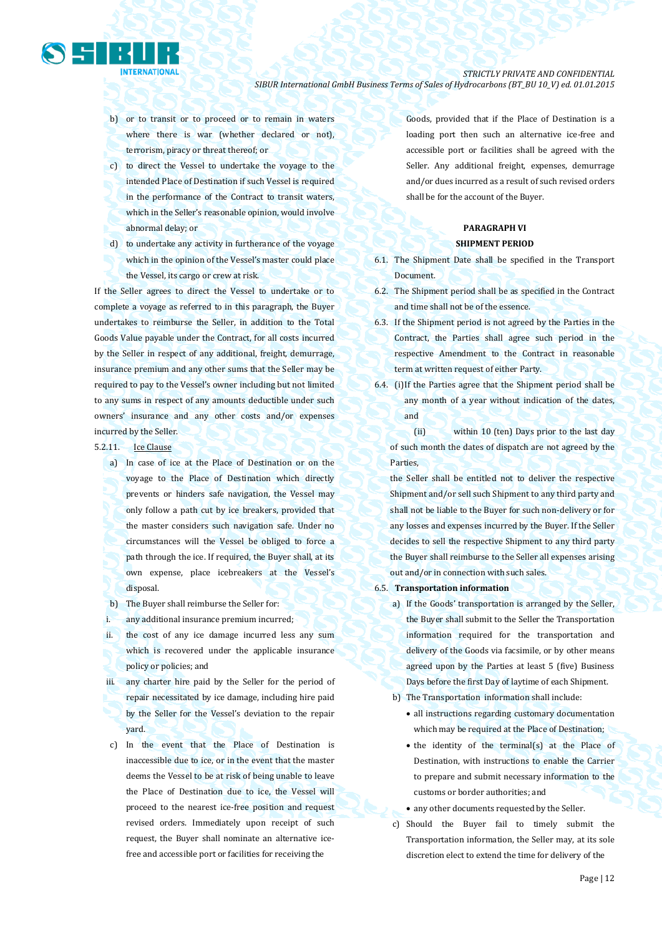

- b) or to transit or to proceed or to remain in waters where there is war (whether declared or not), terrorism, piracy or threat thereof; or
- c) to direct the Vessel to undertake the voyage to the intended Place of Destination if such Vessel is required in the performance of the Contract to transit waters, which in the Seller's reasonable opinion, would involve abnormal delay; or
- d) to undertake any activity in furtherance of the voyage which in the opinion of the Vessel's master could place the Vessel, its cargo or crew at risk.

If the Seller agrees to direct the Vessel to undertake or to complete a voyage as referred to in this paragraph, the Buyer undertakes to reimburse the Seller, in addition to the Total Goods Value payable under the Contract, for all costs incurred by the Seller in respect of any additional, freight, demurrage, insurance premium and any other sums that the Seller may be required to pay to the Vessel's owner including but not limited to any sums in respect of any amounts deductible under such owners' insurance and any other costs and/or expenses incurred by the Seller.

- 5.2.11. Ice Clause
	- a) In case of ice at the Place of Destination or on the voyage to the Place of Destination which directly prevents or hinders safe navigation, the Vessel may only follow a path cut by ice breakers, provided that the master considers such navigation safe. Under no circumstances will the Vessel be obliged to force a path through the ice. If required, the Buyer shall, at its own expense, place icebreakers at the Vessel's disposal.
	- b) The Buyer shall reimburse the Seller for:
	- i. any additional insurance premium incurred;
	- ii. the cost of any ice damage incurred less any sum which is recovered under the applicable insurance policy or policies; and
	- iii. any charter hire paid by the Seller for the period of repair necessitated by ice damage, including hire paid by the Seller for the Vessel's deviation to the repair yard.
	- c) In the event that the Place of Destination is inaccessible due to ice, or in the event that the master deems the Vessel to be at risk of being unable to leave the Place of Destination due to ice, the Vessel will proceed to the nearest ice-free position and request revised orders. Immediately upon receipt of such request, the Buyer shall nominate an alternative icefree and accessible port or facilities for receiving the

Goods, provided that if the Place of Destination is a loading port then such an alternative ice-free and accessible port or facilities shall be agreed with the Seller. Any additional freight, expenses, demurrage and/or dues incurred as a result of such revised orders shall be for the account of the Buyer.

## **PARAGRAPH VI SHIPMENT PERIOD**

- 6.1. The Shipment Date shall be specified in the Transport Document.
- 6.2. The Shipment period shall be as specified in the Contract and time shall not be of the essence.
- 6.3. If the Shipment period is not agreed by the Parties in the Contract, the Parties shall agree such period in the respective Amendment to the Contract in reasonable term at written request of either Party.
- 6.4. (i)If the Parties agree that the Shipment period shall be any month of a year without indication of the dates, and

 (ii) within 10 (ten) Days prior to the last day of such month the dates of dispatch are not agreed by the Parties,

the Seller shall be entitled not to deliver the respective Shipment and/or sell such Shipment to any third party and shall not be liable to the Buyer for such non-delivery or for any losses and expenses incurred by the Buyer. If the Seller decides to sell the respective Shipment to any third party the Buyer shall reimburse to the Seller all expenses arising out and/or in connection with such sales.

- 6.5. **Transportation information** 
	- a) If the Goods' transportation is arranged by the Seller, the Buyer shall submit to the Seller the Transportation information required for the transportation and delivery of the Goods via facsimile, or by other means agreed upon by the Parties at least 5 (five) Business Days before the first Day of laytime of each Shipment.
	- b) The Transportation information shall include:
		- all instructions regarding customary documentation which may be required at the Place of Destination;
		- the identity of the terminal(s) at the Place of Destination, with instructions to enable the Carrier to prepare and submit necessary information to the customs or border authorities; and
		- any other documents requested by the Seller.
	- c) Should the Buyer fail to timely submit the Transportation information, the Seller may, at its sole discretion elect to extend the time for delivery of the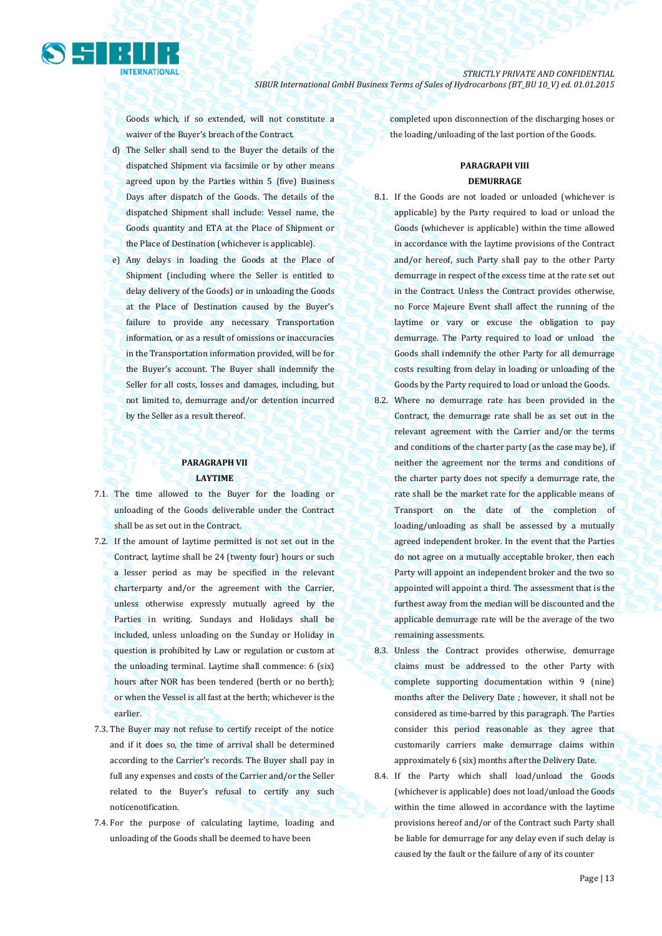

Goods which, if so extended, will not constitute a waiver of the Buyer's breach of the Contract.

- d) The Seller shall send to the Buyer the details of the dispatched Shipment via facsimile or by other means agreed upon by the Parties within 5 (five) Business Days after dispatch of the Goods. The details of the dispatched Shipment shall include: Vessel name, the Goods quantity and ETA at the Place of Shipment or the Place of Destination (whichever is applicable).
- e) Any delays in loading the Goods at the Place of Shipment (including where the Seller is entitled to delay delivery of the Goods) or in unloading the Goods at the Place of Destination caused by the Buyer's failure to provide any necessary Transportation information, or as a result of omissions or inaccuracies in the Transportation information provided, will be for the Buyer's account. The Buyer shall indemnify the Seller for all costs, losses and damages, including, but not limited to, demurrage and/or detention incurred by the Seller as a result thereof.

## **PARAGRAPH VII LAYTIME**

- 7.1. The time allowed to the Buyer for the loading or unloading of the Goods deliverable under the Contract shall be as set out in the Contract.
- 7.2. If the amount of laytime permitted is not set out in the Contract, laytime shall be 24 (twenty four) hours or such a lesser period as may be specified in the relevant charterparty and/or the agreement with the Carrier, unless otherwise expressly mutually agreed by the Parties in writing. Sundays and Holidays shall be included, unless unloading on the Sunday or Holiday in question is prohibited by Law or regulation or custom at the unloading terminal. Laytime shall commence: 6 (six) hours after NOR has been tendered (berth or no berth); or when the Vessel is all fast at the berth; whichever is the earlier.
- 7.3. The Buyer may not refuse to certify receipt of the notice and if it does so, the time of arrival shall be determined according to the Carrier's records. The Buyer shall pay in full any expenses and costs of the Carrier and/or the Seller related to the Buyer's refusal to certify any such noticenotification.
- 7.4. For the purpose of calculating laytime, loading and unloading of the Goods shall be deemed to have been

completed upon disconnection of the discharging hoses or the loading/unloading of the last portion of the Goods.

## **PARAGRAPH VIII DEMURRAGE**

- 8.1. If the Goods are not loaded or unloaded (whichever is applicable) by the Party required to load or unload the Goods (whichever is applicable) within the time allowed in accordance with the laytime provisions of the Contract and/or hereof, such Party shall pay to the other Party demurrage in respect of the excess time at the rate set out in the Contract. Unless the Contract provides otherwise, no Force Majeure Event shall affect the running of the laytime or vary or excuse the obligation to pay demurrage. The Party required to load or unload the Goods shall indemnify the other Party for all demurrage costs resulting from delay in loading or unloading of the Goods by the Party required to load or unload the Goods.
- 8.2. Where no demurrage rate has been provided in the Contract, the demurrage rate shall be as set out in the relevant agreement with the Carrier and/or the terms and conditions of the charter party (as the case may be), if neither the agreement nor the terms and conditions of the charter party does not specify a demurrage rate, the rate shall be the market rate for the applicable means of Transport on the date of the completion of loading/unloading as shall be assessed by a mutually agreed independent broker. In the event that the Parties do not agree on a mutually acceptable broker, then each Party will appoint an independent broker and the two so appointed will appoint a third. The assessment that is the furthest away from the median will be discounted and the applicable demurrage rate will be the average of the two remaining assessments.
- 8.3. Unless the Contract provides otherwise, demurrage claims must be addressed to the other Party with complete supporting documentation within 9 (nine) months after the Delivery Date ; however, it shall not be considered as time-barred by this paragraph. The Parties consider this period reasonable as they agree that customarily carriers make demurrage claims within approximately 6 (six) months after the Delivery Date.
- 8.4. If the Party which shall load/unload the Goods (whichever is applicable) does not load/unload the Goods within the time allowed in accordance with the laytime provisions hereof and/or of the Contract such Party shall be liable for demurrage for any delay even if such delay is caused by the fault or the failure of any of its counter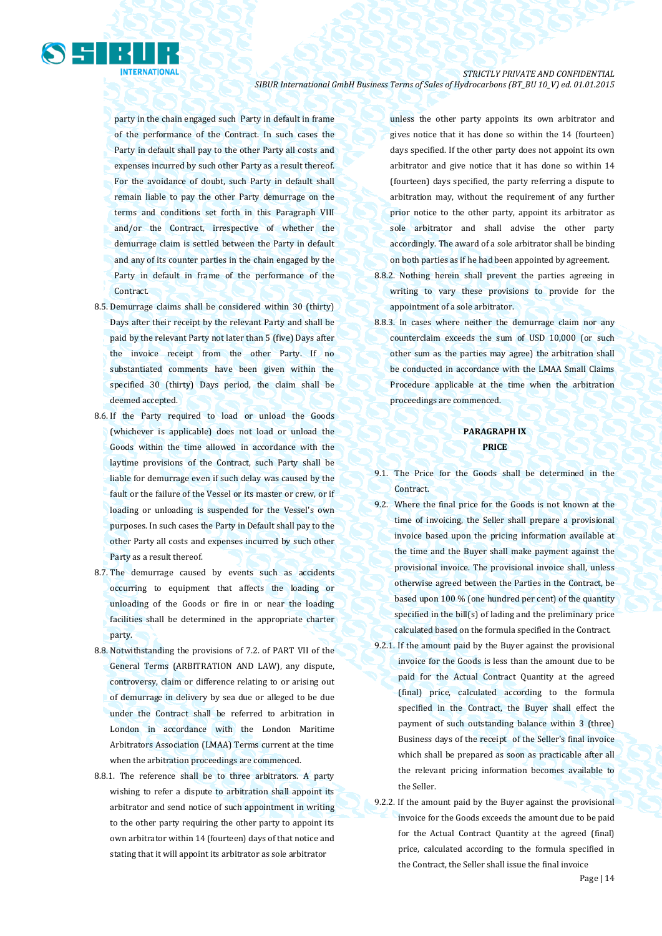

party in the chain engaged such Party in default in frame of the performance of the Contract. In such cases the Party in default shall pay to the other Party all costs and expenses incurred by such other Party as a result thereof. For the avoidance of doubt, such Party in default shall remain liable to pay the other Party demurrage on the terms and conditions set forth in this Paragraph VIII and/or the Contract, irrespective of whether the demurrage claim is settled between the Party in default and any of its counter parties in the chain engaged by the Party in default in frame of the performance of the Contract.

- 8.5. Demurrage claims shall be considered within 30 (thirty) Days after their receipt by the relevant Party and shall be paid by the relevant Party not later than 5 (five) Days after the invoice receipt from the other Party. If no substantiated comments have been given within the specified 30 (thirty) Days period, the claim shall be deemed accepted.
- 8.6. If the Party required to load or unload the Goods (whichever is applicable) does not load or unload the Goods within the time allowed in accordance with the laytime provisions of the Contract, such Party shall be liable for demurrage even if such delay was caused by the fault or the failure of the Vessel or its master or crew, or if loading or unloading is suspended for the Vessel's own purposes. In such cases the Party in Default shall pay to the other Party all costs and expenses incurred by such other Party as a result thereof.
- 8.7. The demurrage caused by events such as accidents occurring to equipment that affects the loading or unloading of the Goods or fire in or near the loading facilities shall be determined in the appropriate charter party.
- 8.8. Notwithstanding the provisions of 7.2. of PART VII of the General Terms (ARBITRATION AND LAW), any dispute, controversy, claim or difference relating to or arising out of demurrage in delivery by sea due or alleged to be due under the Contract shall be referred to arbitration in London in accordance with the London Maritime Arbitrators Association (LMAA) Terms current at the time when the arbitration proceedings are commenced.
- 8.8.1. The reference shall be to three arbitrators. A party wishing to refer a dispute to arbitration shall appoint its arbitrator and send notice of such appointment in writing to the other party requiring the other party to appoint its own arbitrator within 14 (fourteen) days of that notice and stating that it will appoint its arbitrator as sole arbitrator

unless the other party appoints its own arbitrator and gives notice that it has done so within the 14 (fourteen) days specified. If the other party does not appoint its own arbitrator and give notice that it has done so within 14 (fourteen) days specified, the party referring a dispute to arbitration may, without the requirement of any further prior notice to the other party, appoint its arbitrator as sole arbitrator and shall advise the other party accordingly. The award of a sole arbitrator shall be binding on both parties as if he had been appointed by agreement.

- 8.8.2. Nothing herein shall prevent the parties agreeing in writing to vary these provisions to provide for the appointment of a sole arbitrator.
- 8.8.3. In cases where neither the demurrage claim nor any counterclaim exceeds the sum of USD 10,000 (or such other sum as the parties may agree) the arbitration shall be conducted in accordance with the LMAA Small Claims Procedure applicable at the time when the arbitration proceedings are commenced.

## **PARAGRAPH IX PRICE**

- 9.1. The Price for the Goods shall be determined in the Contract.
- 9.2. Where the final price for the Goods is not known at the time of invoicing, the Seller shall prepare a provisional invoice based upon the pricing information available at the time and the Buyer shall make payment against the provisional invoice. The provisional invoice shall, unless otherwise agreed between the Parties in the Contract, be based upon 100 % (one hundred per cent) of the quantity specified in the bill(s) of lading and the preliminary price calculated based on the formula specified in the Contract.
- 9.2.1. If the amount paid by the Buyer against the provisional invoice for the Goods is less than the amount due to be paid for the Actual Contract Quantity at the agreed (final) price, calculated according to the formula specified in the Contract, the Buyer shall effect the payment of such outstanding balance within 3 (three) Business days of the receipt of the Seller's final invoice which shall be prepared as soon as practicable after all the relevant pricing information becomes available to the Seller.
- 9.2.2. If the amount paid by the Buyer against the provisional invoice for the Goods exceeds the amount due to be paid for the Actual Contract Quantity at the agreed (final) price, calculated according to the formula specified in the Contract, the Seller shall issue the final invoice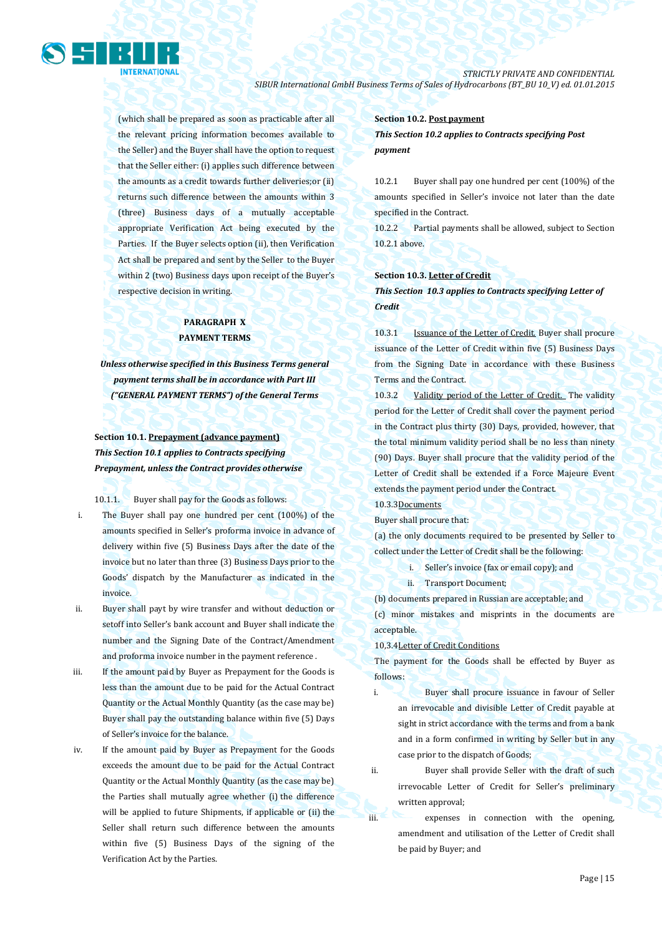

(which shall be prepared as soon as practicable after all the relevant pricing information becomes available to the Seller) and the Buyer shall have the option to request that the Seller either: (i) applies such difference between the amounts as a credit towards further deliveries;or (ii) returns such difference between the amounts within 3 (three) Business days of a mutually acceptable appropriate Verification Act being executed by the Parties. If the Buyer selects option (ii), then Verification Act shall be prepared and sent by the Seller to the Buyer within 2 (two) Business days upon receipt of the Buyer's respective decision in writing.

## **PARAGRAPH X PAYMENT TERMS**

*Unless otherwise specified in this Business Terms general payment terms shall be in accordance with Part III ("GENERAL PAYMENT TERMS") of the General Terms*

## **Section 10.1. Prepayment (advance payment)** *This Section 10.1 applies to Contracts specifying Prepayment, unless the Contract provides otherwise*

10.1.1. Buyer shall pay for the Goods as follows:

- i. The Buyer shall pay one hundred per cent (100%) of the amounts specified in Seller's proforma invoice in advance of delivery within five (5) Business Days after the date of the invoice but no later than three (3) Business Days prior to the Goods' dispatch by the Manufacturer as indicated in the invoice.
- ii. Buyer shall payt by wire transfer and without deduction or setoff into Seller's bank account and Buyer shall indicate the number and the Signing Date of the Contract/Amendment and proforma invoice number in the payment reference .
- iii. If the amount paid by Buyer as Prepayment for the Goods is less than the amount due to be paid for the Actual Contract Quantity or the Actual Monthly Quantity (as the case may be) Buyer shall pay the outstanding balance within five (5) Days of Seller's invoice for the balance.
- iv. If the amount paid by Buyer as Prepayment for the Goods exceeds the amount due to be paid for the Actual Contract Quantity or the Actual Monthly Quantity (as the case may be) the Parties shall mutually agree whether (i) the difference will be applied to future Shipments, if applicable or (ii) the Seller shall return such difference between the amounts within five (5) Business Days of the signing of the Verification Act by the Parties.

### **Section 10.2. Post payment**

*This Section 10.2 applies to Contracts specifying Post payment*

10.2.1 Buyer shall pay one hundred per cent (100%) of the amounts specified in Seller's invoice not later than the date specified in the Contract.

10.2.2 Partial payments shall be allowed, subject to Section 10.2.1 above.

## **Section 10.3. Letter of Credit**

*This Section 10.3 applies to Contracts specifying Letter of Credit* 

10.3.1 Issuance of the Letter of Credit. Buyer shall procure issuance of the Letter of Credit within five (5) Business Days from the Signing Date in accordance with these Business Terms and the Contract.

10.3.2 Validity period of the Letter of Credit. The validity period for the Letter of Credit shall cover the payment period in the Contract plus thirty (30) Days, provided, however, that the total minimum validity period shall be no less than ninety (90) Days. Buyer shall procure that the validity period of the Letter of Credit shall be extended if a Force Majeure Event extends the payment period under the Contract.

## 10.3.3Documents

Buyer shall procure that:

(a) the only documents required to be presented by Seller to collect under the Letter of Credit shall be the following:

- i. Seller's invoice (fax or email copy); and
- ii. Transport Document;

(b) documents prepared in Russian are acceptable; and

(c) minor mistakes and misprints in the documents are acceptable.

#### 10,3.4Letter of Credit Conditions

The payment for the Goods shall be effected by Buyer as follows:

i. Buyer shall procure issuance in favour of Seller an irrevocable and divisible Letter of Credit payable at sight in strict accordance with the terms and from a bank and in a form confirmed in writing by Seller but in any case prior to the dispatch of Goods;

ii. Buyer shall provide Seller with the draft of such irrevocable Letter of Credit for Seller's preliminary written approval;

iii. expenses in connection with the opening, amendment and utilisation of the Letter of Credit shall be paid by Buyer; and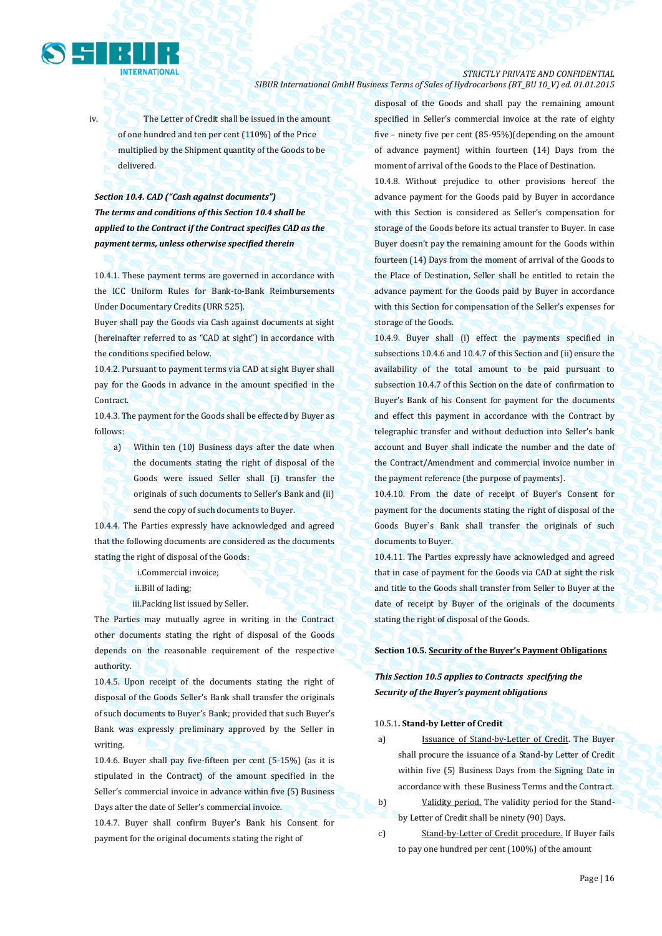

iv. The Letter of Credit shall be issued in the amount of one hundred and ten per cent (110%) of the Price multiplied by the Shipment quantity of the Goods to be delivered.

## *Section 10.4. CAD ("Cash against documents") The terms and conditions of this Section 10.4 shall be applied to the Contract if the Contract specifies CAD as the payment terms, unless otherwise specified therein*

10.4.1. These payment terms are governed in accordance with the ICC Uniform Rules for Bank-to-Bank Reimbursements Under Documentary Credits (URR 525).

Buyer shall pay the Goods via Cash against documents at sight (hereinafter referred to as "CAD at sight") in accordance with the conditions specified below.

10.4.2. Pursuant to payment terms via CAD at sight Buyer shall pay for the Goods in advance in the amount specified in the **Contract** 

10.4.3. The payment for the Goods shall be effected by Buyer as follows:

a) Within ten (10) Business days after the date when the documents stating the right of disposal of the Goods were issued Seller shall (i) transfer the originals of such documents to Seller's Bank and (ii) send the copy of such documents to Buyer.

10.4.4. The Parties expressly have acknowledged and agreed that the following documents are considered as the documents stating the right of disposal of the Goods:

- i.Commercial invoice;
- ii.Bill of lading;
- iii.Packing list issued by Seller.

The Parties may mutually agree in writing in the Contract other documents stating the right of disposal of the Goods depends on the reasonable requirement of the respective authority.

10.4.5. Upon receipt of the documents stating the right of disposal of the Goods Seller's Bank shall transfer the originals of such documents to Buyer's Bank; provided that such Buyer's Bank was expressly preliminary approved by the Seller in writing.

10.4.6. Buyer shall pay five-fifteen per cent (5-15%) (as it is stipulated in the Contract) of the amount specified in the Seller's commercial invoice in advance within five (5) Business Days after the date of Seller's commercial invoice. 10.4.7. Buyer shall confirm Buyer's Bank his Consent for payment for the original documents stating the right of

disposal of the Goods and shall pay the remaining amount specified in Seller's commercial invoice at the rate of eighty five – ninety five per cent (85-95%)(depending on the amount of advance payment) within fourteen (14) Days from the moment of arrival of the Goods to the Place of Destination.

10.4.8. Without prejudice to other provisions hereof the advance payment for the Goods paid by Buyer in accordance with this Section is considered as Seller's compensation for storage of the Goods before its actual transfer to Buyer. In case Buyer doesn't pay the remaining amount for the Goods within fourteen (14) Days from the moment of arrival of the Goods to the Place of Destination, Seller shall be entitled to retain the advance payment for the Goods paid by Buyer in accordance with this Section for compensation of the Seller's expenses for storage of the Goods.

10.4.9. Buyer shall (i) effect the payments specified in subsections 10.4.6 and 10.4.7 of this Section and (ii) ensure the availability of the total amount to be paid pursuant to subsection 10.4.7 of this Section on the date of confirmation to Buyer's Bank of his Consent for payment for the documents and effect this payment in accordance with the Contract by telegraphic transfer and without deduction into Seller's bank account and Buyer shall indicate the number and the date of the Contract/Amendment and commercial invoice number in the payment reference (the purpose of payments).

10.4.10. From the date of receipt of Buyer's Consent for payment for the documents stating the right of disposal of the Goods Buyer`s Bank shall transfer the originals of such documents to Buyer.

10.4.11. The Parties expressly have acknowledged and agreed that in case of payment for the Goods via CAD at sight the risk and title to the Goods shall transfer from Seller to Buyer at the date of receipt by Buyer of the originals of the documents stating the right of disposal of the Goods.

#### **Section 10.5. Security of the Buyer's Payment Obligations**

## *This Section 10.5 applies to Contracts specifying the Security of the Buyer's payment obligations*

### 10.5.1**. Stand-by Letter of Credit**

a) Issuance of Stand-by-Letter of Credit. The Buyer shall procure the issuance of a Stand-by Letter of Credit within five (5) Business Days from the Signing Date in accordance with these Business Terms and the Contract.

b) Validity period. The validity period for the Standby Letter of Credit shall be ninety (90) Days.

c) Stand-by-Letter of Credit procedure. If Buyer fails to pay one hundred per cent (100%) of the amount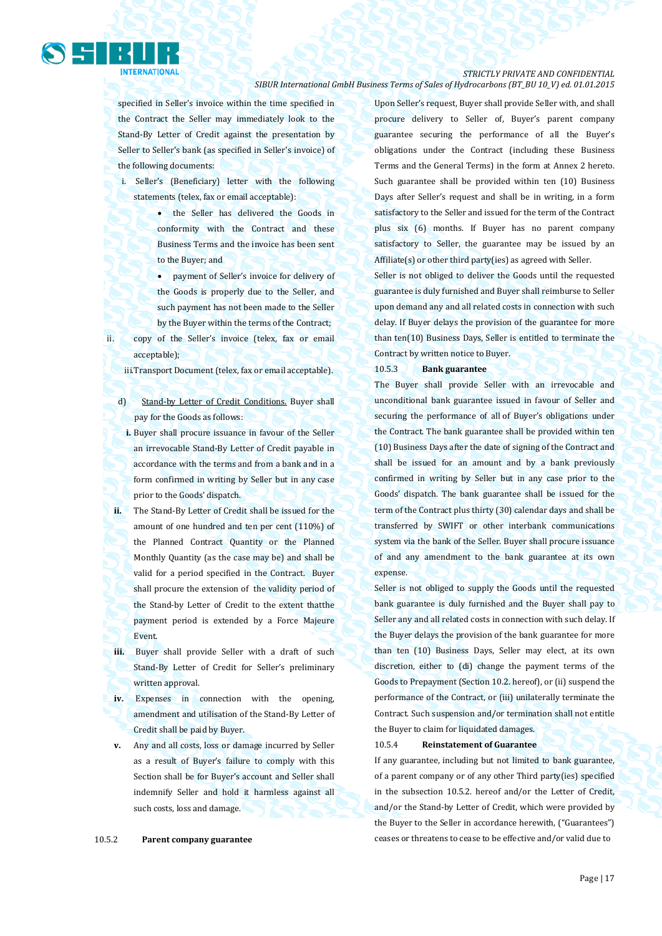## *STRICTLY PRIVATE AND CONFIDENTIAL*

### *SIBUR International GmbH Business Terms of Sales of Hydrocarbons (BT\_BU 10\_V) ed. 01.01.2015*

specified in Seller's invoice within the time specified in the Contract the Seller may immediately look to the Stand-By Letter of Credit against the presentation by Seller to Seller's bank (as specified in Seller's invoice) of the following documents:

i. Seller's (Beneficiary) letter with the following statements (telex, fax or email acceptable):

- the Seller has delivered the Goods in conformity with the Contract and these Business Terms and the invoice has been sent to the Buyer; and
- payment of Seller's invoice for delivery of the Goods is properly due to the Seller, and such payment has not been made to the Seller by the Buyer within the terms of the Contract;
- ii. copy of the Seller's invoice (telex, fax or email acceptable);

iii.Transport Document (telex, fax or email acceptable).

- d) Stand-by Letter of Credit Conditions. Buyer shall pay for the Goods as follows:
- **i.** Buyer shall procure issuance in favour of the Seller an irrevocable Stand-By Letter of Credit payable in accordance with the terms and from a bank and in a form confirmed in writing by Seller but in any case prior to the Goods' dispatch.
- **ii.** The Stand-By Letter of Credit shall be issued for the amount of one hundred and ten per cent (110%) of the Planned Contract Quantity or the Planned Monthly Quantity (as the case may be) and shall be valid for a period specified in the Contract. Buyer shall procure the extension of the validity period of the Stand-by Letter of Credit to the extent thatthe payment period is extended by a Force Majeure Event.
- **iii.** Buyer shall provide Seller with a draft of such Stand-By Letter of Credit for Seller's preliminary written approval.
- **iv.** Expenses in connection with the opening, amendment and utilisation of the Stand-By Letter of Credit shall be paid by Buyer.
- **v.** Any and all costs, loss or damage incurred by Seller as a result of Buyer's failure to comply with this Section shall be for Buyer's account and Seller shall indemnify Seller and hold it harmless against all such costs, loss and damage.

Upon Seller's request, Buyer shall provide Seller with, and shall procure delivery to Seller of, Buyer's parent company guarantee securing the performance of all the Buyer's obligations under the Contract (including these Business Terms and the General Terms) in the form at Annex 2 hereto. Such guarantee shall be provided within ten (10) Business Days after Seller's request and shall be in writing, in a form satisfactory to the Seller and issued for the term of the Contract plus six (6) months. If Buyer has no parent company satisfactory to Seller, the guarantee may be issued by an Affiliate(s) or other third party(ies) as agreed with Seller.

Seller is not obliged to deliver the Goods until the requested guarantee is duly furnished and Buyer shall reimburse to Seller upon demand any and all related costs in connection with such delay. If Buyer delays the provision of the guarantee for more than ten(10) Business Days, Seller is entitled to terminate the Contract by written notice to Buyer.

#### 10.5.3 **Bank guarantee**

The Buyer shall provide Seller with an irrevocable and unconditional bank guarantee issued in favour of Seller and securing the performance of all of Buyer's obligations under the Contract. The bank guarantee shall be provided within ten (10) Business Days after the date of signing of the Contract and shall be issued for an amount and by a bank previously confirmed in writing by Seller but in any case prior to the Goods' dispatch. The bank guarantee shall be issued for the term of the Contract plus thirty (30) calendar days and shall be transferred by SWIFT or other interbank communications system via the bank of the Seller. Buyer shall procure issuance of and any amendment to the bank guarantee at its own expense.

Seller is not obliged to supply the Goods until the requested bank guarantee is duly furnished and the Buyer shall pay to Seller any and all related costs in connection with such delay. If the Buyer delays the provision of the bank guarantee for more than ten (10) Business Days, Seller may elect, at its own discretion, either to (di) change the payment terms of the Goods to Prepayment (Section 10.2. hereof), or (ii) suspend the performance of the Contract, or (iii) unilaterally terminate the Contract. Such suspension and/or termination shall not entitle the Buyer to claim for liquidated damages.

#### 10.5.4 **Reinstatement of Guarantee**

If any guarantee, including but not limited to bank guarantee, of a parent company or of any other Third party(ies) specified in the subsection 10.5.2. hereof and/or the Letter of Credit, and/or the Stand-by Letter of Credit, which were provided by the Buyer to the Seller in accordance herewith, ("Guarantees") ceases or threatens to cease to be effective and/or valid due to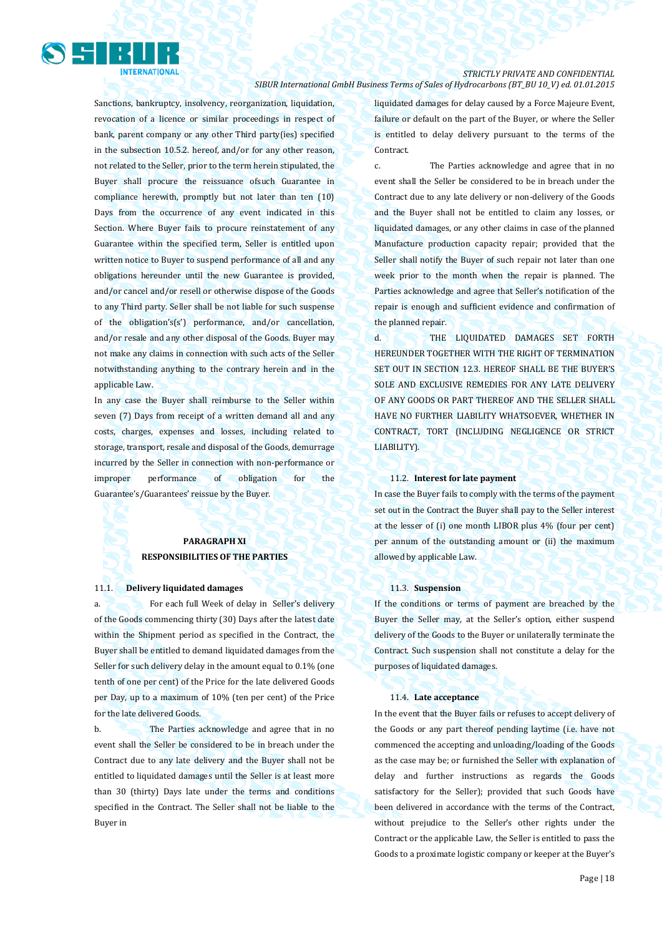

Sanctions, bankruptcy, insolvency, reorganization, liquidation, revocation of a licence or similar proceedings in respect of bank, parent company or any other Third party(ies) specified in the subsection 10.5.2. hereof, and/or for any other reason, not related to the Seller, prior to the term herein stipulated, the Buyer shall procure the reissuance ofsuch Guarantee in compliance herewith, promptly but not later than ten (10) Days from the occurrence of any event indicated in this Section. Where Buyer fails to procure reinstatement of any Guarantee within the specified term, Seller is entitled upon written notice to Buyer to suspend performance of all and any obligations hereunder until the new Guarantee is provided, and/or cancel and/or resell or otherwise dispose of the Goods to any Third party. Seller shall be not liable for such suspense of the obligation's(s') performance, and/or cancellation, and/or resale and any other disposal of the Goods. Buyer may not make any claims in connection with such acts of the Seller notwithstanding anything to the contrary herein and in the applicable Law.

In any case the Buyer shall reimburse to the Seller within seven (7) Days from receipt of a written demand all and any costs, charges, expenses and losses, including related to storage, transport, resale and disposal of the Goods, demurrage incurred by the Seller in connection with non-performance or improper performance of obligation for the Guarantee's/Guarantees' reissue by the Buyer.

## **PARAGRAPH XI RESPONSIBILITIES OF THE PARTIES**

#### 11.1. **Delivery liquidated damages**

a. For each full Week of delay in Seller's delivery of the Goods commencing thirty (30) Days after the latest date within the Shipment period as specified in the Contract, the Buyer shall be entitled to demand liquidated damages from the Seller for such delivery delay in the amount equal to 0.1% (one tenth of one per cent) of the Price for the late delivered Goods per Day, up to a maximum of 10% (ten per cent) of the Price for the late delivered Goods.

b. The Parties acknowledge and agree that in no event shall the Seller be considered to be in breach under the Contract due to any late delivery and the Buyer shall not be entitled to liquidated damages until the Seller is at least more than 30 (thirty) Days late under the terms and conditions specified in the Contract. The Seller shall not be liable to the Buyer in

liquidated damages for delay caused by a Force Majeure Event, failure or default on the part of the Buyer, or where the Seller is entitled to delay delivery pursuant to the terms of the Contract.

c. The Parties acknowledge and agree that in no event shall the Seller be considered to be in breach under the Contract due to any late delivery or non-delivery of the Goods and the Buyer shall not be entitled to claim any losses, or liquidated damages, or any other claims in case of the planned Manufacture production capacity repair; provided that the Seller shall notify the Buyer of such repair not later than one week prior to the month when the repair is planned. The Parties acknowledge and agree that Seller's notification of the repair is enough and sufficient evidence and confirmation of the planned repair.

d. THE LIQUIDATED DAMAGES SET FORTH HEREUNDER TOGETHER WITH THE RIGHT OF TERMINATION SET OUT IN SECTION 12.3. HEREOF SHALL BE THE BUYER'S SOLE AND EXCLUSIVE REMEDIES FOR ANY LATE DELIVERY OF ANY GOODS OR PART THEREOF AND THE SELLER SHALL HAVE NO FURTHER LIABILITY WHATSOEVER, WHETHER IN CONTRACT, TORT (INCLUDING NEGLIGENCE OR STRICT LIABILITY).

#### 11.2. **Interest for late payment**

In case the Buyer fails to comply with the terms of the payment set out in the Contract the Buyer shall pay to the Seller interest at the lesser of (i) one month LIBOR plus 4% (four per cent) per annum of the outstanding amount or (ii) the maximum allowed by applicable Law.

#### 11.3. **Suspension**

If the conditions or terms of payment are breached by the Buyer the Seller may, at the Seller's option, either suspend delivery of the Goods to the Buyer or unilaterally terminate the Contract. Such suspension shall not constitute a delay for the purposes of liquidated damages.

#### 11.4. **Late acceptance**

In the event that the Buyer fails or refuses to accept delivery of the Goods or any part thereof pending laytime (i.e. have not commenced the accepting and unloading/loading of the Goods as the case may be; or furnished the Seller with explanation of delay and further instructions as regards the Goods satisfactory for the Seller); provided that such Goods have been delivered in accordance with the terms of the Contract, without prejudice to the Seller's other rights under the Contract or the applicable Law, the Seller is entitled to pass the Goods to a proximate logistic company or keeper at the Buyer's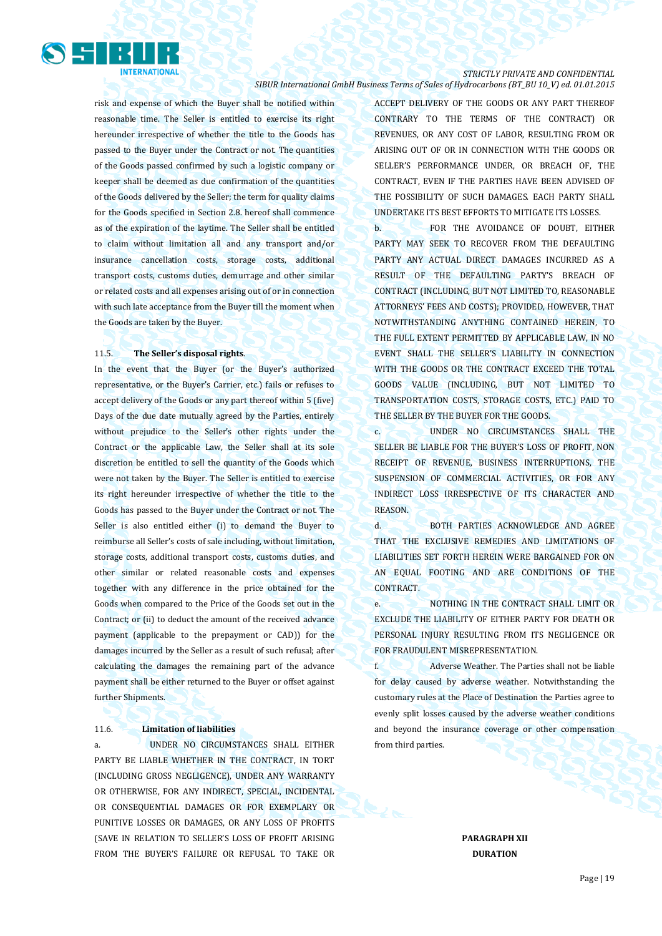

risk and expense of which the Buyer shall be notified within reasonable time. The Seller is entitled to exercise its right hereunder irrespective of whether the title to the Goods has passed to the Buyer under the Contract or not. The quantities of the Goods passed confirmed by such a logistic company or keeper shall be deemed as due confirmation of the quantities of the Goods delivered by the Seller; the term for quality claims for the Goods specified in Section 2.8. hereof shall commence as of the expiration of the laytime. The Seller shall be entitled to claim without limitation all and any transport and/or insurance cancellation costs, storage costs, additional transport costs, customs duties, demurrage and other similar or related costs and all expenses arising out of or in connection with such late acceptance from the Buyer till the moment when the Goods are taken by the Buyer.

### 11.5. **The Seller's disposal rights**.

In the event that the Buyer (or the Buyer's authorized representative, or the Buyer's Carrier, etc.) fails or refuses to accept delivery of the Goods or any part thereof within 5 (five) Days of the due date mutually agreed by the Parties, entirely without prejudice to the Seller's other rights under the Contract or the applicable Law, the Seller shall at its sole discretion be entitled to sell the quantity of the Goods which were not taken by the Buyer. The Seller is entitled to exercise its right hereunder irrespective of whether the title to the Goods has passed to the Buyer under the Contract or not. The Seller is also entitled either (i) to demand the Buyer to reimburse all Seller's costs of sale including, without limitation, storage costs, additional transport costs, customs duties, and other similar or related reasonable costs and expenses together with any difference in the price obtained for the Goods when compared to the Price of the Goods set out in the Contract; or (ii) to deduct the amount of the received advance payment (applicable to the prepayment or CAD)) for the damages incurred by the Seller as a result of such refusal; after calculating the damages the remaining part of the advance payment shall be either returned to the Buyer or offset against further Shipments.

### 11.6. **Limitation of liabilities**

a. UNDER NO CIRCUMSTANCES SHALL EITHER PARTY BE LIABLE WHETHER IN THE CONTRACT, IN TORT (INCLUDING GROSS NEGLIGENCE), UNDER ANY WARRANTY OR OTHERWISE, FOR ANY INDIRECT, SPECIAL, INCIDENTAL OR CONSEQUENTIAL DAMAGES OR FOR EXEMPLARY OR PUNITIVE LOSSES OR DAMAGES, OR ANY LOSS OF PROFITS (SAVE IN RELATION TO SELLER'S LOSS OF PROFIT ARISING FROM THE BUYER'S FAILURE OR REFUSAL TO TAKE OR

ACCEPT DELIVERY OF THE GOODS OR ANY PART THEREOF CONTRARY TO THE TERMS OF THE CONTRACT) OR REVENUES, OR ANY COST OF LABOR, RESULTING FROM OR ARISING OUT OF OR IN CONNECTION WITH THE GOODS OR SELLER'S PERFORMANCE UNDER, OR BREACH OF, THE CONTRACT, EVEN IF THE PARTIES HAVE BEEN ADVISED OF THE POSSIBILITY OF SUCH DAMAGES. EACH PARTY SHALL UNDERTAKE ITS BEST EFFORTS TO MITIGATE ITS LOSSES.

b. FOR THE AVOIDANCE OF DOUBT, EITHER PARTY MAY SEEK TO RECOVER FROM THE DEFAULTING PARTY ANY ACTUAL DIRECT DAMAGES INCURRED AS A RESULT OF THE DEFAULTING PARTY'S BREACH OF CONTRACT (INCLUDING, BUT NOT LIMITED TO, REASONABLE ATTORNEYS' FEES AND COSTS); PROVIDED, HOWEVER, THAT NOTWITHSTANDING ANYTHING CONTAINED HEREIN, TO THE FULL EXTENT PERMITTED BY APPLICABLE LAW, IN NO EVENT SHALL THE SELLER'S LIABILITY IN CONNECTION WITH THE GOODS OR THE CONTRACT EXCEED THE TOTAL GOODS VALUE (INCLUDING, BUT NOT LIMITED TO TRANSPORTATION COSTS, STORAGE COSTS, ETC.) PAID TO THE SELLER BY THE BUYER FOR THE GOODS.

c. UNDER NO CIRCUMSTANCES SHALL THE SELLER BE LIABLE FOR THE BUYER'S LOSS OF PROFIT, NON RECEIPT OF REVENUE, BUSINESS INTERRUPTIONS, THE SUSPENSION OF COMMERCIAL ACTIVITIES, OR FOR ANY INDIRECT LOSS IRRESPECTIVE OF ITS CHARACTER AND **REASON** 

d. BOTH PARTIES ACKNOWLEDGE AND AGREE THAT THE EXCLUSIVE REMEDIES AND LIMITATIONS OF LIABILITIES SET FORTH HEREIN WERE BARGAINED FOR ON AN EQUAL FOOTING AND ARE CONDITIONS OF THE CONTRACT.

e. NOTHING IN THE CONTRACT SHALL LIMIT OR EXCLUDE THE LIABILITY OF EITHER PARTY FOR DEATH OR PERSONAL INJURY RESULTING FROM ITS NEGLIGENCE OR FOR FRAUDULENT MISREPRESENTATION.

f. Adverse Weather. The Parties shall not be liable for delay caused by adverse weather. Notwithstanding the customary rules at the Place of Destination the Parties agree to evenly split losses caused by the adverse weather conditions and beyond the insurance coverage or other compensation from third parties.

> **PARAGRAPH XII DURATION**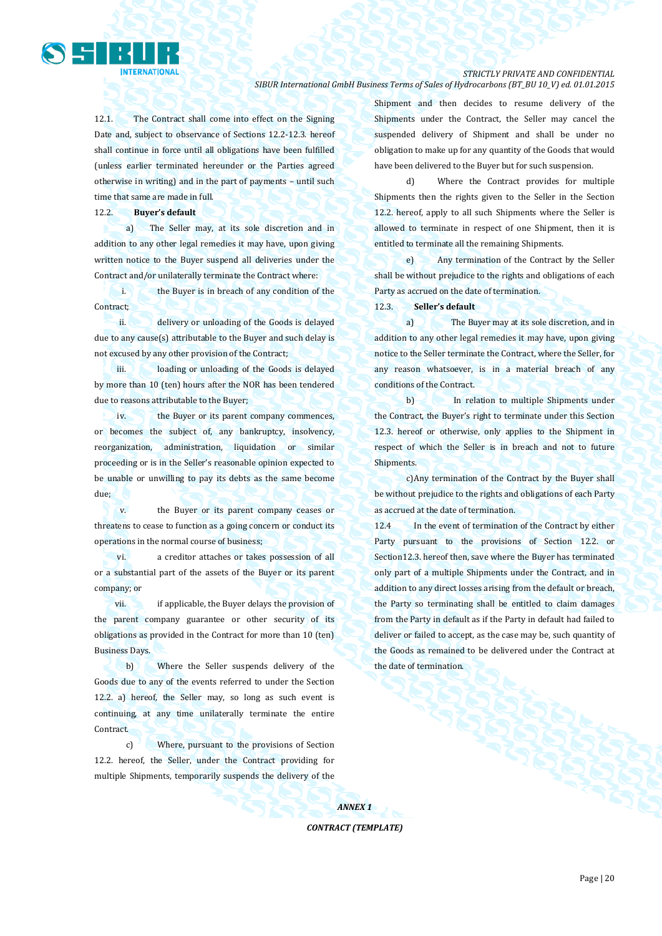

## *STRICTLY PRIVATE AND CONFIDENTIAL*

*SIBUR International GmbH Business Terms of Sales of Hydrocarbons (BT\_BU 10\_V) ed. 01.01.2015*

12.1. The Contract shall come into effect on the Signing Date and, subject to observance of Sections 12.2-12.3. hereof shall continue in force until all obligations have been fulfilled (unless earlier terminated hereunder or the Parties agreed otherwise in writing) and in the part of payments – until such time that same are made in full.

12.2. **Buyer's default** 

a) The Seller may, at its sole discretion and in addition to any other legal remedies it may have, upon giving written notice to the Buyer suspend all deliveries under the Contract and/or unilaterally terminate the Contract where:

i. the Buyer is in breach of any condition of the Contract;

ii. delivery or unloading of the Goods is delayed due to any cause(s) attributable to the Buyer and such delay is not excused by any other provision of the Contract;

iii. loading or unloading of the Goods is delayed by more than 10 (ten) hours after the NOR has been tendered due to reasons attributable to the Buyer;

iv. the Buyer or its parent company commences, or becomes the subject of, any bankruptcy, insolvency, reorganization, administration, liquidation or similar proceeding or is in the Seller's reasonable opinion expected to be unable or unwilling to pay its debts as the same become due;

v. the Buyer or its parent company ceases or threatens to cease to function as a going concern or conduct its operations in the normal course of business;

vi. a creditor attaches or takes possession of all or a substantial part of the assets of the Buyer or its parent company; or

vii. if applicable, the Buyer delays the provision of the parent company guarantee or other security of its obligations as provided in the Contract for more than 10 (ten) Business Days.

b) Where the Seller suspends delivery of the Goods due to any of the events referred to under the Section 12.2. a) hereof, the Seller may, so long as such event is continuing, at any time unilaterally terminate the entire Contract.

c) Where, pursuant to the provisions of Section 12.2. hereof, the Seller, under the Contract providing for multiple Shipments, temporarily suspends the delivery of the Shipment and then decides to resume delivery of the Shipments under the Contract, the Seller may cancel the suspended delivery of Shipment and shall be under no obligation to make up for any quantity of the Goods that would have been delivered to the Buyer but for such suspension.

d) Where the Contract provides for multiple Shipments then the rights given to the Seller in the Section 12.2. hereof, apply to all such Shipments where the Seller is allowed to terminate in respect of one Shipment, then it is entitled to terminate all the remaining Shipments.

e) Any termination of the Contract by the Seller shall be without prejudice to the rights and obligations of each Party as accrued on the date of termination.

12.3. **Seller's default**

a) The Buyer may at its sole discretion, and in addition to any other legal remedies it may have, upon giving notice to the Seller terminate the Contract, where the Seller, for any reason whatsoever, is in a material breach of any conditions of the Contract.

b) In relation to multiple Shipments under the Contract, the Buyer's right to terminate under this Section 12.3. hereof or otherwise, only applies to the Shipment in respect of which the Seller is in breach and not to future Shipments.

c)Any termination of the Contract by the Buyer shall be without prejudice to the rights and obligations of each Party as accrued at the date of termination.

12.4 In the event of termination of the Contract by either Party pursuant to the provisions of Section 12.2. or Section12.3. hereof then, save where the Buyer has terminated only part of a multiple Shipments under the Contract, and in addition to any direct losses arising from the default or breach, the Party so terminating shall be entitled to claim damages from the Party in default as if the Party in default had failed to deliver or failed to accept, as the case may be, such quantity of the Goods as remained to be delivered under the Contract at the date of termination.

*ANNEX 1 CONTRACT (TEMPLATE)*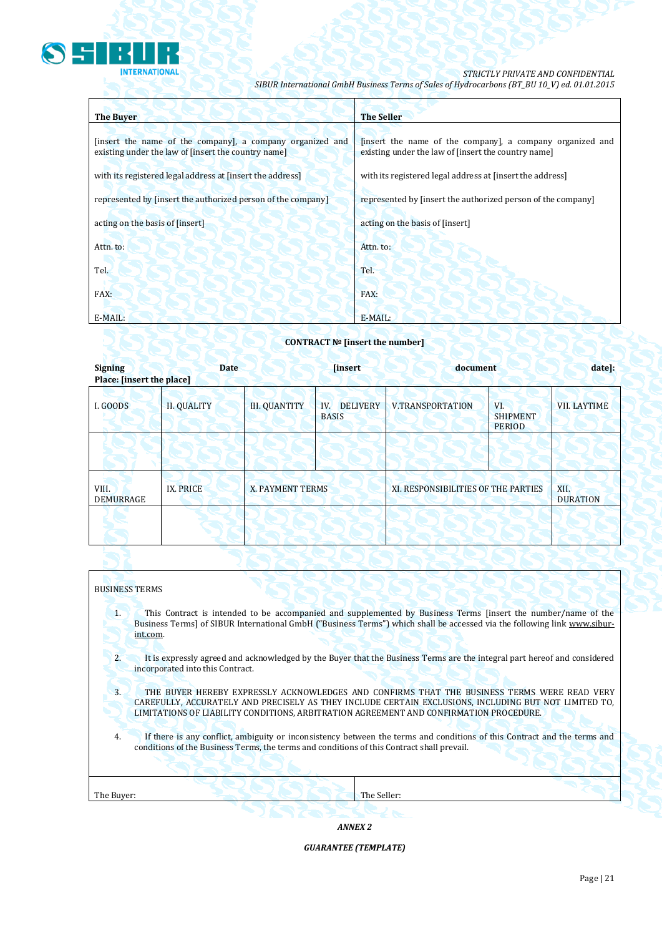

## *STRICTLY PRIVATE AND CONFIDENTIAL*

*SIBUR International GmbH Business Terms of Sales of Hydrocarbons (BT\_BU 10\_V) ed. 01.01.2015*

| <b>The Buyer</b>                                                                                                 | <b>The Seller</b>                                                                                                |
|------------------------------------------------------------------------------------------------------------------|------------------------------------------------------------------------------------------------------------------|
| [insert the name of the company], a company organized and<br>existing under the law of [insert the country name] | [insert the name of the company], a company organized and<br>existing under the law of [insert the country name] |
| with its registered legal address at [insert the address]                                                        | with its registered legal address at [insert the address]                                                        |
| represented by [insert the authorized person of the company]                                                     | represented by [insert the authorized person of the company]                                                     |
| acting on the basis of [insert]                                                                                  | acting on the basis of [insert]                                                                                  |
| Attn. to:                                                                                                        | Attn. to:                                                                                                        |
| Tel.                                                                                                             | Tel.                                                                                                             |
| FAX:                                                                                                             | FAX:                                                                                                             |
| E-MAIL:                                                                                                          | E-MAIL:                                                                                                          |

## **CONTRACT № [insert the number]**

| <b>Signing</b>            | <b>Date</b><br>Place: [insert the place] |                      | <b>[insert]</b>                        | document                            |                                         | date]:              |
|---------------------------|------------------------------------------|----------------------|----------------------------------------|-------------------------------------|-----------------------------------------|---------------------|
| I. GOODS                  | <b>II. QUALITY</b>                       | <b>III. QUANTITY</b> | <b>DELIVERY</b><br>IV.<br><b>BASIS</b> | <b>V.TRANSPORTATION</b>             | VI.<br><b>SHIPMENT</b><br><b>PERIOD</b> | <b>VII. LAYTIME</b> |
|                           |                                          |                      |                                        |                                     |                                         |                     |
| VIII.<br><b>DEMURRAGE</b> | <b>IX. PRICE</b>                         | X. PAYMENT TERMS     |                                        | XI. RESPONSIBILITIES OF THE PARTIES | XII.<br><b>DURATION</b>                 |                     |
|                           |                                          |                      |                                        |                                     |                                         |                     |

### BUSINESS TERMS

- 1. This Contract is intended to be accompanied and supplemented by Business Terms [insert the number/name of the Business Terms] of SIBUR International GmbH ("Business Terms") which shall be accessed via the following link [www.sibur](http://www.sibur-int.com/)[int.com.](http://www.sibur-int.com/)
- 2. It is expressly agreed and acknowledged by the Buyer that the Business Terms are the integral part hereof and considered incorporated into this Contract.
- 3. THE BUYER HEREBY EXPRESSLY ACKNOWLEDGES AND CONFIRMS THAT THE BUSINESS TERMS WERE READ VERY CAREFULLY, ACCURATELY AND PRECISELY AS THEY INCLUDE CERTAIN EXCLUSIONS, INCLUDING BUT NOT LIMITED TO, LIMITATIONS OF LIABILITY CONDITIONS, ARBITRATION AGREEMENT AND CONFIRMATION PROCEDURE.
- 4. If there is any conflict, ambiguity or inconsistency between the terms and conditions of this Contract and the terms and conditions of the Business Terms, the terms and conditions of this Contract shall prevail.

| The Buyer: |  |  | The Seller |
|------------|--|--|------------|
|            |  |  |            |

*ANNEX 2*

*GUARANTEE (TEMPLATE)*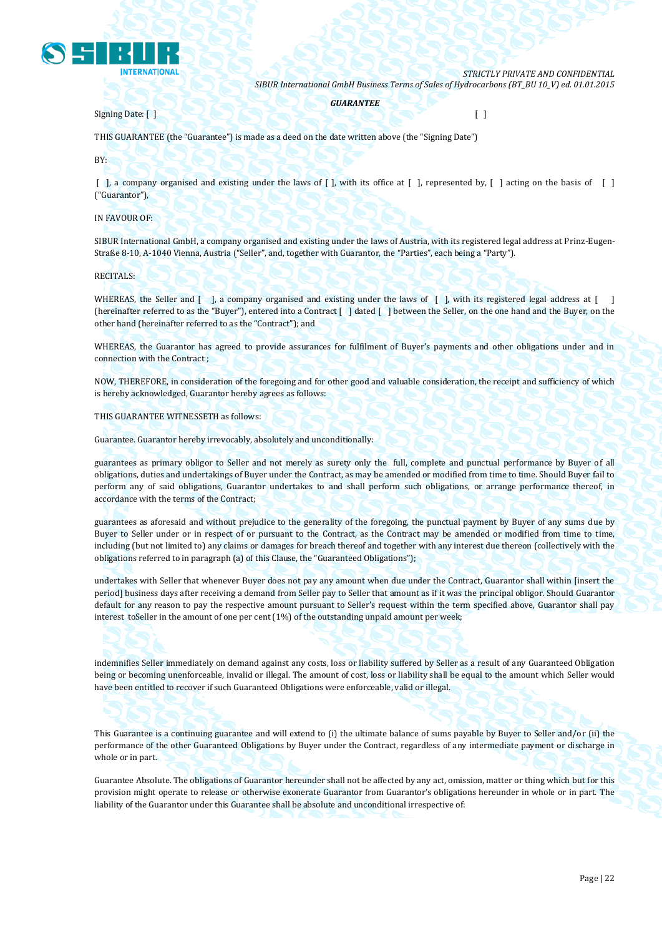

*GUARANTEE*

Signing Date: [ ] [ ]

THIS GUARANTEE (the "Guarantee") is made as a deed on the date written above (the "Signing Date")

BY:

 $\lceil$ , a company organised and existing under the laws of  $\lceil$ , with its office at  $\lceil$ , represented by,  $\lceil$ , acting on the basis of  $\lceil$ ("Guarantor"),

IN FAVOUR OF:

SIBUR International GmbH, a company organised and existing under the laws of Austria, with its registered legal address at Prinz-Eugen-Straße 8-10, A-1040 Vienna, Austria ("Seller", and, together with Guarantor, the "Parties", each being a "Party").

RECITALS:

WHEREAS, the Seller and  $\begin{bmatrix} 1 \\ 0 \end{bmatrix}$ , a company organised and existing under the laws of  $\begin{bmatrix} 1 \\ 0 \end{bmatrix}$ , with its registered legal address at  $\begin{bmatrix} 1 \\ 0 \end{bmatrix}$ (hereinafter referred to as the "Buyer"), entered into a Contract [ ] dated [ ] between the Seller, on the one hand and the Buyer, on the other hand (hereinafter referred to as the "Contract"); and

WHEREAS, the Guarantor has agreed to provide assurances for fulfilment of Buyer's payments and other obligations under and in connection with the Contract ;

NOW, THEREFORE, in consideration of the foregoing and for other good and valuable consideration, the receipt and sufficiency of which is hereby acknowledged, Guarantor hereby agrees as follows:

THIS GUARANTEE WITNESSETH as follows:

Guarantee. Guarantor hereby irrevocably, absolutely and unconditionally:

guarantees as primary obligor to Seller and not merely as surety only the full, complete and punctual performance by Buyer of all obligations, duties and undertakings of Buyer under the Contract, as may be amended or modified from time to time. Should Buyer fail to perform any of said obligations, Guarantor undertakes to and shall perform such obligations, or arrange performance thereof, in accordance with the terms of the Contract;

guarantees as aforesaid and without prejudice to the generality of the foregoing, the punctual payment by Buyer of any sums due by Buyer to Seller under or in respect of or pursuant to the Contract, as the Contract may be amended or modified from time to time, including (but not limited to) any claims or damages for breach thereof and together with any interest due thereon (collectively with the obligations referred to in paragraph (a) of this Clause, the "Guaranteed Obligations");

undertakes with Seller that whenever Buyer does not pay any amount when due under the Contract, Guarantor shall within [insert the period] business days after receiving a demand from Seller pay to Seller that amount as if it was the principal obligor. Should Guarantor default for any reason to pay the respective amount pursuant to Seller's request within the term specified above, Guarantor shall pay interest toSeller in the amount of one per cent (1%) of the outstanding unpaid amount per week;

indemnifies Seller immediately on demand against any costs, loss or liability suffered by Seller as a result of any Guaranteed Obligation being or becoming unenforceable, invalid or illegal. The amount of cost, loss or liability shall be equal to the amount which Seller would have been entitled to recover if such Guaranteed Obligations were enforceable, valid or illegal.

This Guarantee is a continuing guarantee and will extend to (i) the ultimate balance of sums payable by Buyer to Seller and/or (ii) the performance of the other Guaranteed Obligations by Buyer under the Contract, regardless of any intermediate payment or discharge in whole or in part.

Guarantee Absolute. The obligations of Guarantor hereunder shall not be affected by any act, omission, matter or thing which but for this provision might operate to release or otherwise exonerate Guarantor from Guarantor's obligations hereunder in whole or in part. The liability of the Guarantor under this Guarantee shall be absolute and unconditional irrespective of: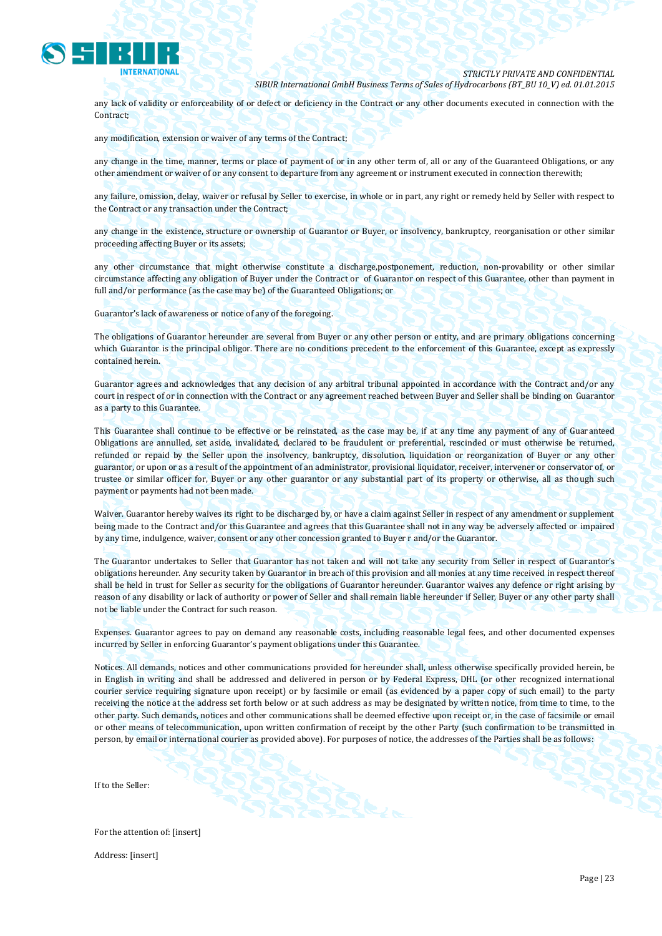

any lack of validity or enforceability of or defect or deficiency in the Contract or any other documents executed in connection with the Contract;

any modification, extension or waiver of any terms of the Contract;

any change in the time, manner, terms or place of payment of or in any other term of, all or any of the Guaranteed Obligations, or any other amendment or waiver of or any consent to departure from any agreement or instrument executed in connection therewith;

any failure, omission, delay, waiver or refusal by Seller to exercise, in whole or in part, any right or remedy held by Seller with respect to the Contract or any transaction under the Contract;

any change in the existence, structure or ownership of Guarantor or Buyer, or insolvency, bankruptcy, reorganisation or other similar proceeding affecting Buyer or its assets;

any other circumstance that might otherwise constitute a discharge,postponement, reduction, non-provability or other similar circumstance affecting any obligation of Buyer under the Contract or of Guarantor on respect of this Guarantee, other than payment in full and/or performance (as the case may be) of the Guaranteed Obligations; or

Guarantor's lack of awareness or notice of any of the foregoing.

The obligations of Guarantor hereunder are several from Buyer or any other person or entity, and are primary obligations concerning which Guarantor is the principal obligor. There are no conditions precedent to the enforcement of this Guarantee, except as expressly contained herein.

Guarantor agrees and acknowledges that any decision of any arbitral tribunal appointed in accordance with the Contract and/or any court in respect of or in connection with the Contract or any agreement reached between Buyer and Seller shall be binding on Guarantor as a party to this Guarantee.

This Guarantee shall continue to be effective or be reinstated, as the case may be, if at any time any payment of any of Guaranteed Obligations are annulled, set aside, invalidated, declared to be fraudulent or preferential, rescinded or must otherwise be returned, refunded or repaid by the Seller upon the insolvency, bankruptcy, dissolution, liquidation or reorganization of Buyer or any other guarantor, or upon or as a result of the appointment of an administrator, provisional liquidator, receiver, intervener or conservator of, or trustee or similar officer for, Buyer or any other guarantor or any substantial part of its property or otherwise, all as though such payment or payments had not been made.

Waiver. Guarantor hereby waives its right to be discharged by, or have a claim against Seller in respect of any amendment or supplement being made to the Contract and/or this Guarantee and agrees that this Guarantee shall not in any way be adversely affected or impaired by any time, indulgence, waiver, consent or any other concession granted to Buyer r and/or the Guarantor.

The Guarantor undertakes to Seller that Guarantor has not taken and will not take any security from Seller in respect of Guarantor's obligations hereunder. Any security taken by Guarantor in breach of this provision and all monies at any time received in respect thereof shall be held in trust for Seller as security for the obligations of Guarantor hereunder. Guarantor waives any defence or right arising by reason of any disability or lack of authority or power of Seller and shall remain liable hereunder if Seller, Buyer or any other party shall not be liable under the Contract for such reason.

Expenses. Guarantor agrees to pay on demand any reasonable costs, including reasonable legal fees, and other documented expenses incurred by Seller in enforcing Guarantor's payment obligations under this Guarantee.

Notices. All demands, notices and other communications provided for hereunder shall, unless otherwise specifically provided herein, be in English in writing and shall be addressed and delivered in person or by Federal Express, DHL (or other recognized international courier service requiring signature upon receipt) or by facsimile or email (as evidenced by a paper copy of such email) to the party receiving the notice at the address set forth below or at such address as may be designated by written notice, from time to time, to the other party. Such demands, notices and other communications shall be deemed effective upon receipt or, in the case of facsimile or email or other means of telecommunication, upon written confirmation of receipt by the other Party (such confirmation to be transmitted in person, by email or international courier as provided above). For purposes of notice, the addresses of the Parties shall be as follows:

If to the Seller:

For the attention of: [insert] Address: [insert]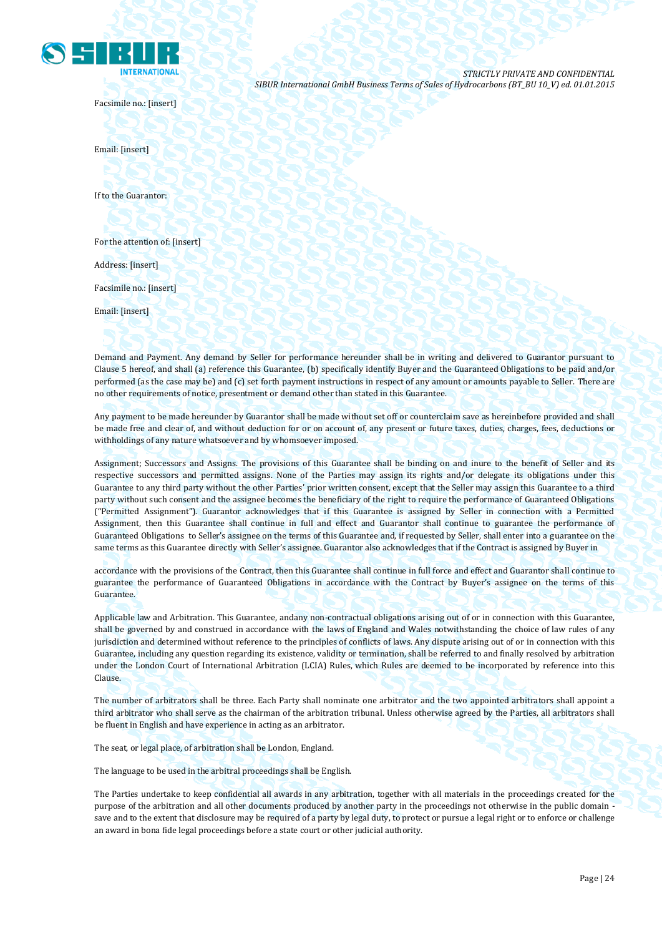

Facsimile no.: [insert]

Email: [insert]

If to the Guarantor:

For the attention of: [insert]

Address: [insert]

Facsimile no.: [insert]

Email: [insert]

Demand and Payment. Any demand by Seller for performance hereunder shall be in writing and delivered to Guarantor pursuant to Clause 5 hereof, and shall (a) reference this Guarantee, (b) specifically identify Buyer and the Guaranteed Obligations to be paid and/or performed (as the case may be) and (c) set forth payment instructions in respect of any amount or amounts payable to Seller. There are no other requirements of notice, presentment or demand other than stated in this Guarantee.

Any payment to be made hereunder by Guarantor shall be made without set off or counterclaim save as hereinbefore provided and shall be made free and clear of, and without deduction for or on account of, any present or future taxes, duties, charges, fees, deductions or withholdings of any nature whatsoever and by whomsoever imposed.

Assignment; Successors and Assigns. The provisions of this Guarantee shall be binding on and inure to the benefit of Seller and its respective successors and permitted assigns. None of the Parties may assign its rights and/or delegate its obligations under this Guarantee to any third party without the other Parties' prior written consent, except that the Seller may assign this Guarantee to a third party without such consent and the assignee becomes the beneficiary of the right to require the performance of Guaranteed Obligations ("Permitted Assignment"). Guarantor acknowledges that if this Guarantee is assigned by Seller in connection with a Permitted Assignment, then this Guarantee shall continue in full and effect and Guarantor shall continue to guarantee the performance of Guaranteed Obligations to Seller's assignee on the terms of this Guarantee and, if requested by Seller, shall enter into a guarantee on the same terms as this Guarantee directly with Seller's assignee. Guarantor also acknowledges that if the Contract is assigned by Buyer in

accordance with the provisions of the Contract, then this Guarantee shall continue in full force and effect and Guarantor shall continue to guarantee the performance of Guaranteed Obligations in accordance with the Contract by Buyer's assignee on the terms of this Guarantee.

Applicable law and Arbitration. This Guarantee, andany non-contractual obligations arising out of or in connection with this Guarantee, shall be governed by and construed in accordance with the laws of England and Wales notwithstanding the choice of law rules of any jurisdiction and determined without reference to the principles of conflicts of laws. Any dispute arising out of or in connection with this Guarantee, including any question regarding its existence, validity or termination, shall be referred to and finally resolved by arbitration under the London Court of International Arbitration (LCIA) Rules, which Rules are deemed to be incorporated by reference into this Clause.

The number of arbitrators shall be three. Each Party shall nominate one arbitrator and the two appointed arbitrators shall appoint a third arbitrator who shall serve as the chairman of the arbitration tribunal. Unless otherwise agreed by the Parties, all arbitrators shall be fluent in English and have experience in acting as an arbitrator.

The seat, or legal place, of arbitration shall be London, England.

The language to be used in the arbitral proceedings shall be English.

The Parties undertake to keep confidential all awards in any arbitration, together with all materials in the proceedings created for the purpose of the arbitration and all other documents produced by another party in the proceedings not otherwise in the public domain save and to the extent that disclosure may be required of a party by legal duty, to protect or pursue a legal right or to enforce or challenge an award in bona fide legal proceedings before a state court or other judicial authority.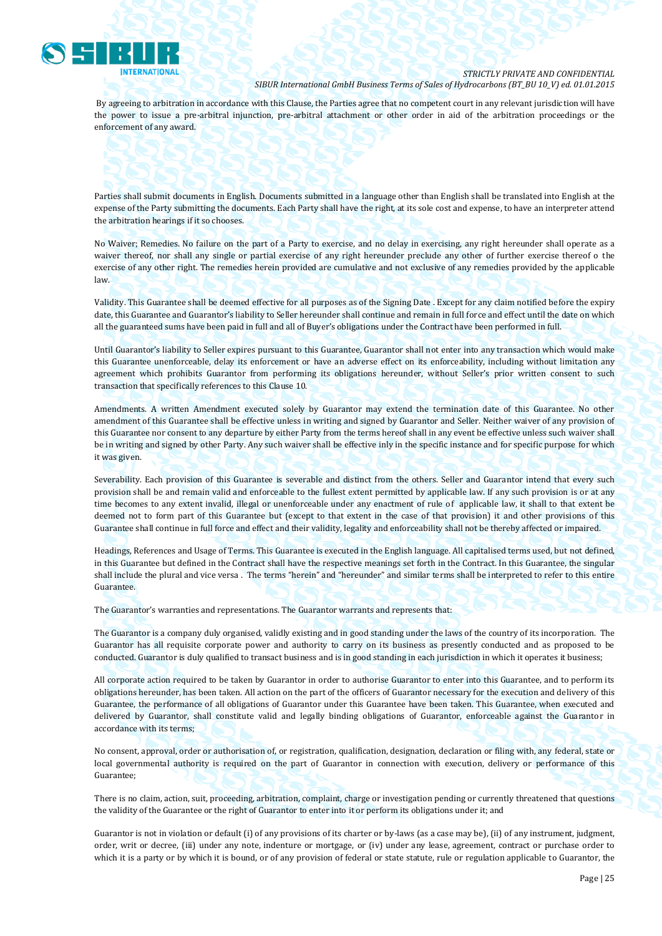

By agreeing to arbitration in accordance with this Clause, the Parties agree that no competent court in any relevant jurisdiction will have the power to issue a pre-arbitral injunction, pre-arbitral attachment or other order in aid of the arbitration proceedings or the enforcement of any award.

Parties shall submit documents in English. Documents submitted in a language other than English shall be translated into English at the expense of the Party submitting the documents. Each Party shall have the right, at its sole cost and expense, to have an interpreter attend the arbitration hearings if it so chooses.

No Waiver; Remedies. No failure on the part of a Party to exercise, and no delay in exercising, any right hereunder shall operate as a waiver thereof, nor shall any single or partial exercise of any right hereunder preclude any other of further exercise thereof o the exercise of any other right. The remedies herein provided are cumulative and not exclusive of any remedies provided by the applicable law.

Validity. This Guarantee shall be deemed effective for all purposes as of the Signing Date . Except for any claim notified before the expiry date, this Guarantee and Guarantor's liability to Seller hereunder shall continue and remain in full force and effect until the date on which all the guaranteed sums have been paid in full and all of Buyer's obligations under the Contract have been performed in full.

Until Guarantor's liability to Seller expires pursuant to this Guarantee, Guarantor shall not enter into any transaction which would make this Guarantee unenforceable, delay its enforcement or have an adverse effect on its enforceability, including without limitation any agreement which prohibits Guarantor from performing its obligations hereunder, without Seller's prior written consent to such transaction that specifically references to this Clause 10.

Amendments. A written Amendment executed solely by Guarantor may extend the termination date of this Guarantee. No other amendment of this Guarantee shall be effective unless in writing and signed by Guarantor and Seller. Neither waiver of any provision of this Guarantee nor consent to any departure by either Party from the terms hereof shall in any event be effective unless such waiver shall be in writing and signed by other Party. Any such waiver shall be effective inly in the specific instance and for specific purpose for which it was given.

Severability. Each provision of this Guarantee is severable and distinct from the others. Seller and Guarantor intend that every such provision shall be and remain valid and enforceable to the fullest extent permitted by applicable law. If any such provision is or at any time becomes to any extent invalid, illegal or unenforceable under any enactment of rule of applicable law, it shall to that extent be deemed not to form part of this Guarantee but (except to that extent in the case of that provision) it and other provisions of this Guarantee shall continue in full force and effect and their validity, legality and enforceability shall not be thereby affected or impaired.

Headings, References and Usage of Terms. This Guarantee is executed in the English language. All capitalised terms used, but not defined, in this Guarantee but defined in the Contract shall have the respective meanings set forth in the Contract. In this Guarantee, the singular shall include the plural and vice versa . The terms "herein" and "hereunder" and similar terms shall be interpreted to refer to this entire Guarantee.

The Guarantor's warranties and representations. The Guarantor warrants and represents that:

The Guarantor is a company duly organised, validly existing and in good standing under the laws of the country of its incorporation. The Guarantor has all requisite corporate power and authority to carry on its business as presently conducted and as proposed to be conducted. Guarantor is duly qualified to transact business and is in good standing in each jurisdiction in which it operates it business;

All corporate action required to be taken by Guarantor in order to authorise Guarantor to enter into this Guarantee, and to perform its obligations hereunder, has been taken. All action on the part of the officers of Guarantor necessary for the execution and delivery of this Guarantee, the performance of all obligations of Guarantor under this Guarantee have been taken. This Guarantee, when executed and delivered by Guarantor, shall constitute valid and legally binding obligations of Guarantor, enforceable against the Guarantor in accordance with its terms;

No consent, approval, order or authorisation of, or registration, qualification, designation, declaration or filing with, any federal, state or local governmental authority is required on the part of Guarantor in connection with execution, delivery or performance of this Guarantee;

There is no claim, action, suit, proceeding, arbitration, complaint, charge or investigation pending or currently threatened that questions the validity of the Guarantee or the right of Guarantor to enter into it or perform its obligations under it; and

Guarantor is not in violation or default (i) of any provisions of its charter or by-laws (as a case may be), (ii) of any instrument, judgment, order, writ or decree, (iii) under any note, indenture or mortgage, or (iv) under any lease, agreement, contract or purchase order to which it is a party or by which it is bound, or of any provision of federal or state statute, rule or regulation applicable to Guarantor, the